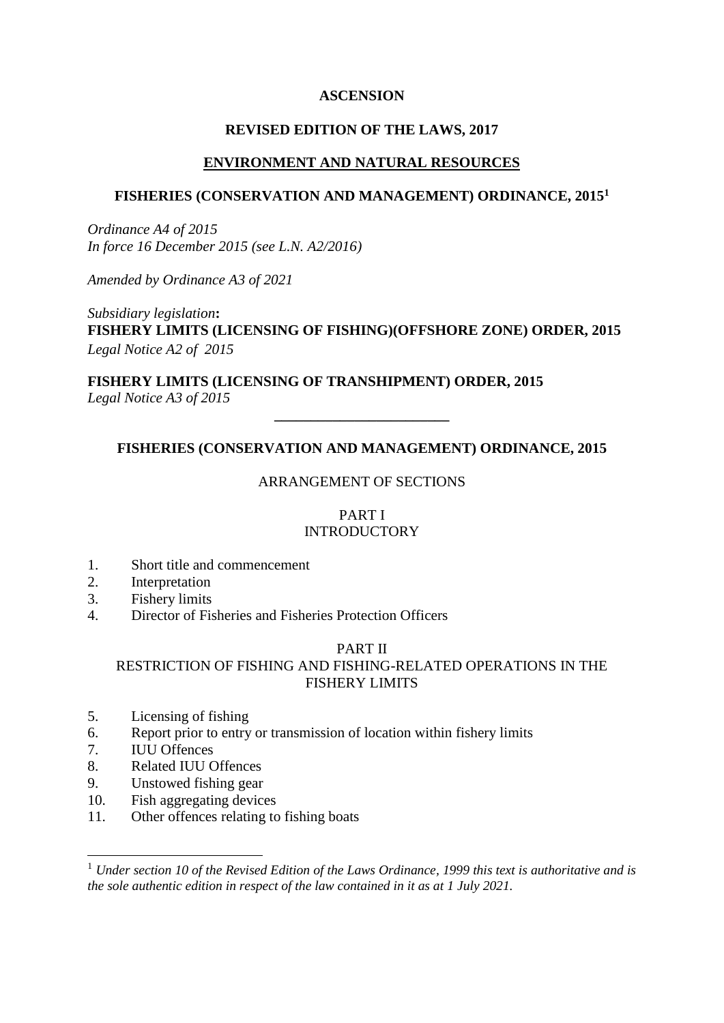### **ASCENSION**

### **REVISED EDITION OF THE LAWS, 2017**

### **ENVIRONMENT AND NATURAL RESOURCES**

### **FISHERIES (CONSERVATION AND MANAGEMENT) ORDINANCE, 2015<sup>1</sup>**

*Ordinance A4 of 2015 In force 16 December 2015 (see L.N. A2/2016)*

*Amended by Ordinance A3 of 2021*

*Subsidiary legislation***: FISHERY LIMITS (LICENSING OF FISHING)(OFFSHORE ZONE) ORDER, 2015** *Legal Notice A2 of 2015*

**FISHERY LIMITS (LICENSING OF TRANSHIPMENT) ORDER, 2015** *Legal Notice A3 of 2015*

# **FISHERIES (CONSERVATION AND MANAGEMENT) ORDINANCE, 2015**

**\_\_\_\_\_\_\_\_\_\_\_\_\_\_\_\_\_\_\_\_\_\_\_\_**

### ARRANGEMENT OF SECTIONS

#### PART I **INTRODUCTORY**

- 1. Short title and commencement
- 2. Interpretation
- 3. Fishery limits
- 4. Director of Fisheries and Fisheries Protection Officers

### PART II

# RESTRICTION OF FISHING AND FISHING-RELATED OPERATIONS IN THE FISHERY LIMITS

- 5. Licensing of fishing
- 6. Report prior to entry or transmission of location within fishery limits
- 7. IUU Offences

1

- 8. Related IUU Offences
- 9. Unstowed fishing gear
- 10. Fish aggregating devices
- 11. Other offences relating to fishing boats

<sup>1</sup> *Under section 10 of the Revised Edition of the Laws Ordinance, 1999 this text is authoritative and is the sole authentic edition in respect of the law contained in it as at 1 July 2021.*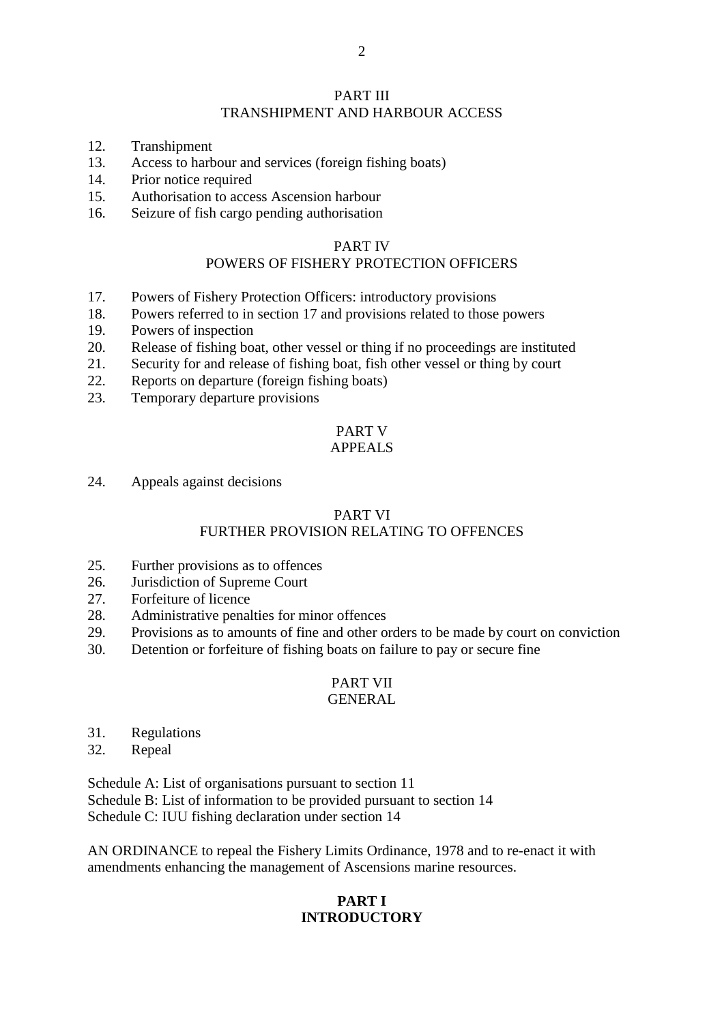#### PART III TRANSHIPMENT AND HARBOUR ACCESS

- 12. Transhipment
- 13. Access to harbour and services (foreign fishing boats)
- 14. Prior notice required
- 15. Authorisation to access Ascension harbour
- 16. Seizure of fish cargo pending authorisation

#### PART IV

# POWERS OF FISHERY PROTECTION OFFICERS

- 17. Powers of Fishery Protection Officers: introductory provisions
- 18. Powers referred to in section 17 and provisions related to those powers
- 19. Powers of inspection
- 20. Release of fishing boat, other vessel or thing if no proceedings are instituted
- 21. Security for and release of fishing boat, fish other vessel or thing by court
- 22. Reports on departure (foreign fishing boats)
- 23. Temporary departure provisions

#### PART V APPEALS

24. Appeals against decisions

### PART VI

### FURTHER PROVISION RELATING TO OFFENCES

- 25. Further provisions as to offences
- 26. Jurisdiction of Supreme Court
- 27. Forfeiture of licence
- 28. Administrative penalties for minor offences
- 29. Provisions as to amounts of fine and other orders to be made by court on conviction
- 30. Detention or forfeiture of fishing boats on failure to pay or secure fine

# PART VII

# GENERAL

- 31. Regulations
- 32. Repeal

Schedule A: List of organisations pursuant to section 11 Schedule B: List of information to be provided pursuant to section 14 Schedule C: IUU fishing declaration under section 14

AN ORDINANCE to repeal the Fishery Limits Ordinance, 1978 and to re-enact it with amendments enhancing the management of Ascensions marine resources.

# **PART I INTRODUCTORY**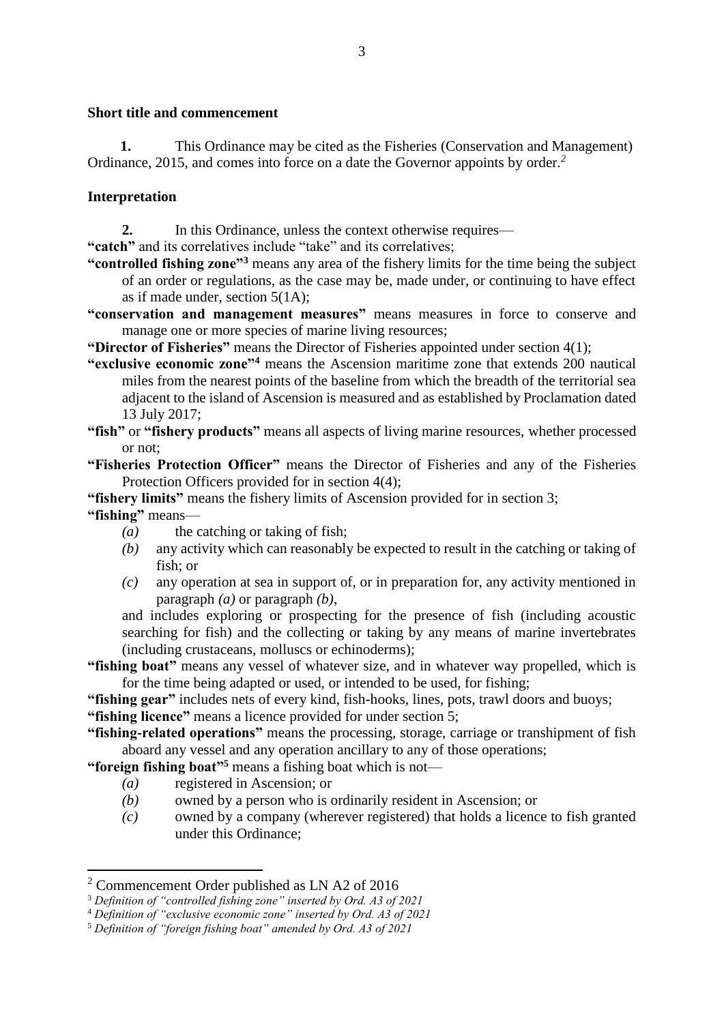#### **Short title and commencement**

**1.** This Ordinance may be cited as the Fisheries (Conservation and Management) Ordinance, 2015, and comes into force on a date the Governor appoints by order.*<sup>2</sup>*

### **Interpretation**

**2.** In this Ordinance, unless the context otherwise requires—

**"catch"** and its correlatives include "take" and its correlatives;

- **"controlled fishing zone"<sup>3</sup>** means any area of the fishery limits for the time being the subject of an order or regulations, as the case may be, made under, or continuing to have effect as if made under, section 5(1A);
- **"conservation and management measures"** means measures in force to conserve and manage one or more species of marine living resources;
- **"Director of Fisheries"** means the Director of Fisheries appointed under section 4(1);
- **"exclusive economic zone"<sup>4</sup>** means the Ascension maritime zone that extends 200 nautical miles from the nearest points of the baseline from which the breadth of the territorial sea adjacent to the island of Ascension is measured and as established by Proclamation dated 13 July 2017;
- **"fish"** or **"fishery products"** means all aspects of living marine resources, whether processed or not;
- **"Fisheries Protection Officer"** means the Director of Fisheries and any of the Fisheries Protection Officers provided for in section 4(4);

**"fishery limits"** means the fishery limits of Ascension provided for in section 3;

**"fishing"** means—

1

- *(a)* the catching or taking of fish;
- *(b)* any activity which can reasonably be expected to result in the catching or taking of fish; or
- *(c)* any operation at sea in support of, or in preparation for, any activity mentioned in paragraph *(a)* or paragraph *(b)*,

and includes exploring or prospecting for the presence of fish (including acoustic searching for fish) and the collecting or taking by any means of marine invertebrates (including crustaceans, molluscs or echinoderms);

- **"fishing boat"** means any vessel of whatever size, and in whatever way propelled, which is for the time being adapted or used, or intended to be used, for fishing;
- **"fishing gear"** includes nets of every kind, fish-hooks, lines, pots, trawl doors and buoys;

**"fishing licence"** means a licence provided for under section 5;

**"fishing-related operations"** means the processing, storage, carriage or transhipment of fish aboard any vessel and any operation ancillary to any of those operations;

**"foreign fishing boat"<sup>5</sup>** means a fishing boat which is not—

- *(a)* registered in Ascension; or
- *(b)* owned by a person who is ordinarily resident in Ascension; or
- *(c)* owned by a company (wherever registered) that holds a licence to fish granted under this Ordinance;

<sup>2</sup> Commencement Order published as LN A2 of 2016

<sup>3</sup> *Definition of "controlled fishing zone" inserted by Ord. A3 of 2021*

<sup>4</sup> *Definition of "exclusive economic zone" inserted by Ord. A3 of 2021*

<sup>5</sup> *Definition of "foreign fishing boat" amended by Ord. A3 of 2021*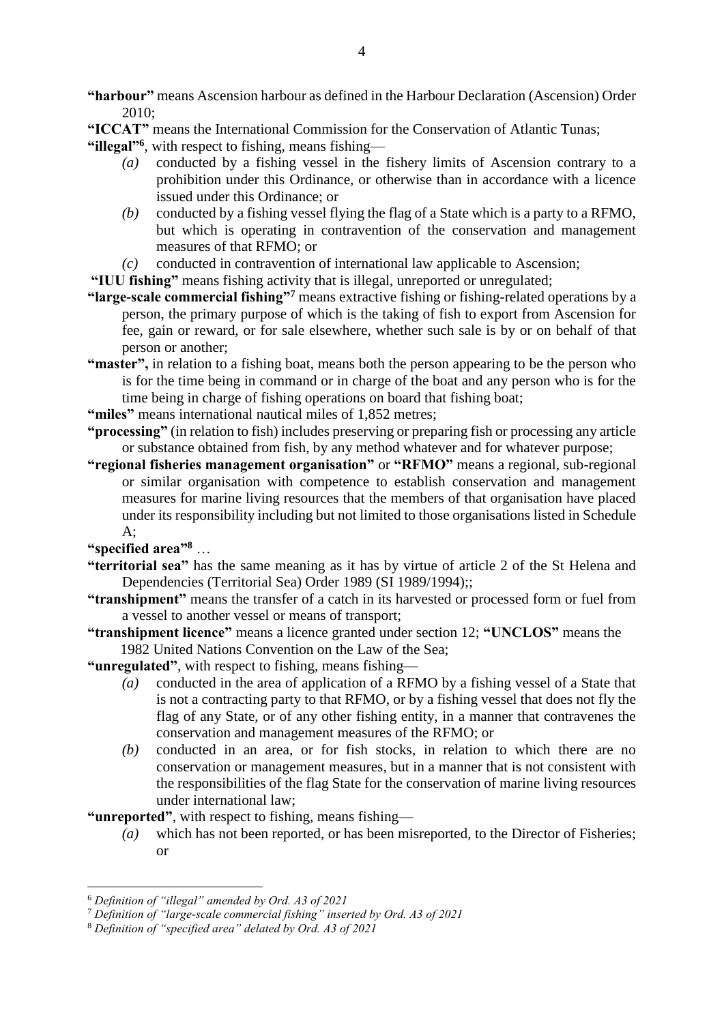**"harbour"** means Ascension harbour as defined in the Harbour Declaration (Ascension) Order 2010;

**"ICCAT"** means the International Commission for the Conservation of Atlantic Tunas;

**"illegal"<sup>6</sup>** , with respect to fishing, means fishing—

- *(a)* conducted by a fishing vessel in the fishery limits of Ascension contrary to a prohibition under this Ordinance, or otherwise than in accordance with a licence issued under this Ordinance; or
- *(b)* conducted by a fishing vessel flying the flag of a State which is a party to a RFMO, but which is operating in contravention of the conservation and management measures of that RFMO; or
- *(c)* conducted in contravention of international law applicable to Ascension;

**"IUU fishing"** means fishing activity that is illegal, unreported or unregulated;

- **"large-scale commercial fishing"<sup>7</sup>** means extractive fishing or fishing-related operations by a person, the primary purpose of which is the taking of fish to export from Ascension for fee, gain or reward, or for sale elsewhere, whether such sale is by or on behalf of that person or another;
- **"master",** in relation to a fishing boat, means both the person appearing to be the person who is for the time being in command or in charge of the boat and any person who is for the time being in charge of fishing operations on board that fishing boat;
- **"miles"** means international nautical miles of 1,852 metres;
- **"processing"** (in relation to fish) includes preserving or preparing fish or processing any article or substance obtained from fish, by any method whatever and for whatever purpose;
- **"regional fisheries management organisation"** or **"RFMO"** means a regional, sub-regional or similar organisation with competence to establish conservation and management measures for marine living resources that the members of that organisation have placed under its responsibility including but not limited to those organisations listed in Schedule  $A$ :

**"specified area"<sup>8</sup>** …

1

- **"territorial sea"** has the same meaning as it has by virtue of article 2 of the St Helena and Dependencies (Territorial Sea) Order 1989 (SI 1989/1994);;
- **"transhipment"** means the transfer of a catch in its harvested or processed form or fuel from a vessel to another vessel or means of transport;
- **"transhipment licence"** means a licence granted under section 12; **"UNCLOS"** means the 1982 United Nations Convention on the Law of the Sea;

**"unregulated"**, with respect to fishing, means fishing—

- *(a)* conducted in the area of application of a RFMO by a fishing vessel of a State that is not a contracting party to that RFMO, or by a fishing vessel that does not fly the flag of any State, or of any other fishing entity, in a manner that contravenes the conservation and management measures of the RFMO; or
- *(b)* conducted in an area, or for fish stocks, in relation to which there are no conservation or management measures, but in a manner that is not consistent with the responsibilities of the flag State for the conservation of marine living resources under international law;

**"unreported"**, with respect to fishing, means fishing—

*(a)* which has not been reported, or has been misreported, to the Director of Fisheries; or

<sup>6</sup> *Definition of "illegal" amended by Ord. A3 of 2021*

<sup>7</sup> *Definition of "large-scale commercial fishing" inserted by Ord. A3 of 2021* 

<sup>8</sup> *Definition of "specified area" delated by Ord. A3 of 2021*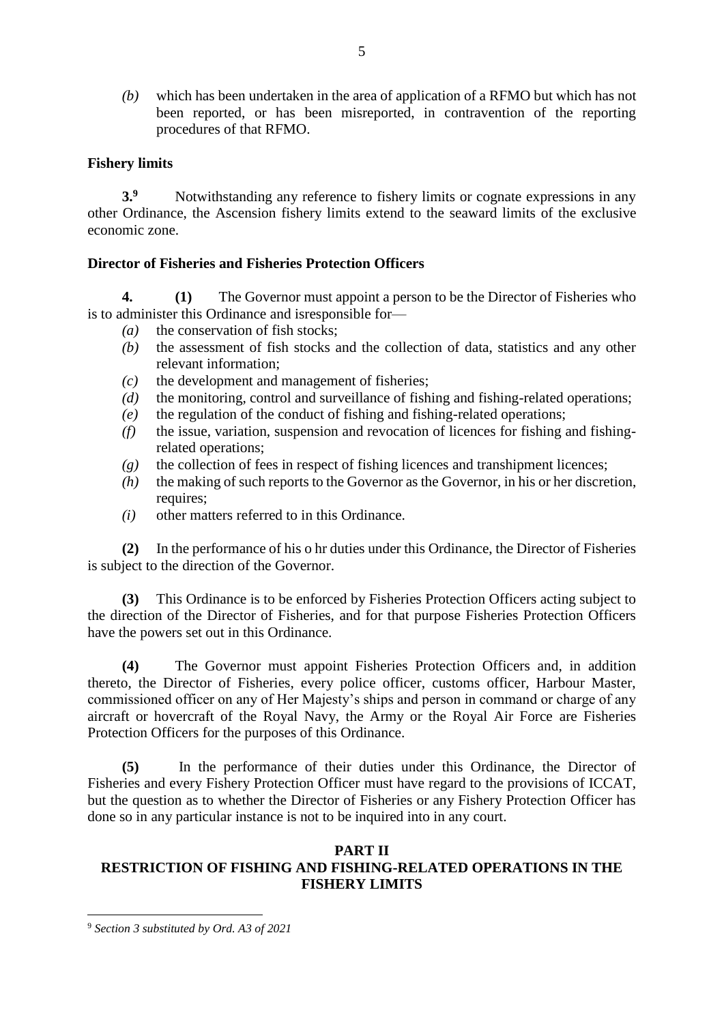*(b)* which has been undertaken in the area of application of a RFMO but which has not been reported, or has been misreported, in contravention of the reporting procedures of that RFMO.

### **Fishery limits**

**3.**<sup>9</sup> Notwithstanding any reference to fishery limits or cognate expressions in any other Ordinance, the Ascension fishery limits extend to the seaward limits of the exclusive economic zone.

### **Director of Fisheries and Fisheries Protection Officers**

**4. (1)** The Governor must appoint a person to be the Director of Fisheries who is to administer this Ordinance and isresponsible for—

- *(a)* the conservation of fish stocks;
- *(b)* the assessment of fish stocks and the collection of data, statistics and any other relevant information;
- *(c)* the development and management of fisheries;
- *(d)* the monitoring, control and surveillance of fishing and fishing-related operations;
- *(e)* the regulation of the conduct of fishing and fishing-related operations;
- *(f)* the issue, variation, suspension and revocation of licences for fishing and fishingrelated operations;
- *(g)* the collection of fees in respect of fishing licences and transhipment licences;
- *(h)* the making of such reports to the Governor as the Governor, in his or her discretion, requires;
- *(i)* other matters referred to in this Ordinance.

**(2)** In the performance of his o hr duties under this Ordinance, the Director of Fisheries is subject to the direction of the Governor.

**(3)** This Ordinance is to be enforced by Fisheries Protection Officers acting subject to the direction of the Director of Fisheries, and for that purpose Fisheries Protection Officers have the powers set out in this Ordinance.

**(4)** The Governor must appoint Fisheries Protection Officers and, in addition thereto, the Director of Fisheries, every police officer, customs officer, Harbour Master, commissioned officer on any of Her Majesty's ships and person in command or charge of any aircraft or hovercraft of the Royal Navy, the Army or the Royal Air Force are Fisheries Protection Officers for the purposes of this Ordinance.

**(5)** In the performance of their duties under this Ordinance, the Director of Fisheries and every Fishery Protection Officer must have regard to the provisions of ICCAT, but the question as to whether the Director of Fisheries or any Fishery Protection Officer has done so in any particular instance is not to be inquired into in any court.

### **PART II**

# **RESTRICTION OF FISHING AND FISHING-RELATED OPERATIONS IN THE FISHERY LIMITS**

**.** 

<sup>9</sup> *Section 3 substituted by Ord. A3 of 2021*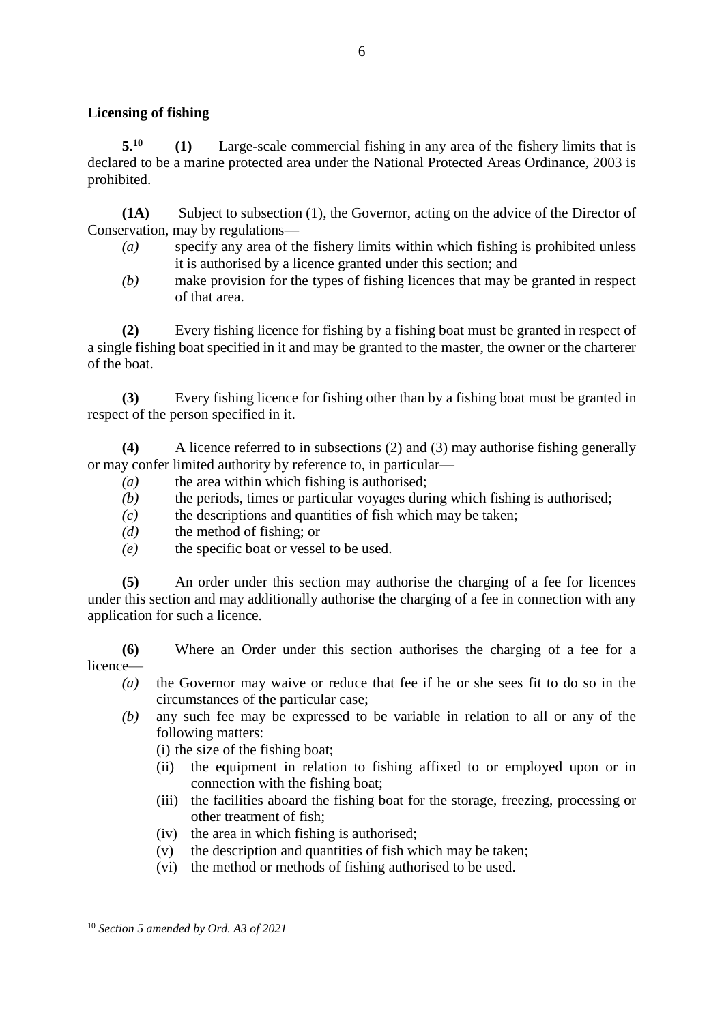### **Licensing of fishing**

**5.<sup>10</sup> (1)** Large-scale commercial fishing in any area of the fishery limits that is declared to be a marine protected area under the National Protected Areas Ordinance, 2003 is prohibited.

**(1A)** Subject to subsection (1), the Governor, acting on the advice of the Director of Conservation, may by regulations—

- *(a)* specify any area of the fishery limits within which fishing is prohibited unless it is authorised by a licence granted under this section; and
- *(b)* make provision for the types of fishing licences that may be granted in respect of that area.

**(2)** Every fishing licence for fishing by a fishing boat must be granted in respect of a single fishing boat specified in it and may be granted to the master, the owner or the charterer of the boat.

**(3)** Every fishing licence for fishing other than by a fishing boat must be granted in respect of the person specified in it.

**(4)** A licence referred to in subsections (2) and (3) may authorise fishing generally or may confer limited authority by reference to, in particular—

- *(a)* the area within which fishing is authorised;
- *(b)* the periods, times or particular voyages during which fishing is authorised;
- *(c)* the descriptions and quantities of fish which may be taken;
- *(d)* the method of fishing; or
- *(e)* the specific boat or vessel to be used.

**(5)** An order under this section may authorise the charging of a fee for licences under this section and may additionally authorise the charging of a fee in connection with any application for such a licence.

**(6)** Where an Order under this section authorises the charging of a fee for a licence—

- *(a)* the Governor may waive or reduce that fee if he or she sees fit to do so in the circumstances of the particular case;
- *(b)* any such fee may be expressed to be variable in relation to all or any of the following matters:
	- (i) the size of the fishing boat;
	- (ii) the equipment in relation to fishing affixed to or employed upon or in connection with the fishing boat;
	- (iii) the facilities aboard the fishing boat for the storage, freezing, processing or other treatment of fish;
	- (iv) the area in which fishing is authorised;
	- (v) the description and quantities of fish which may be taken;
	- (vi) the method or methods of fishing authorised to be used.

**<sup>.</sup>** <sup>10</sup> *Section 5 amended by Ord. A3 of 2021*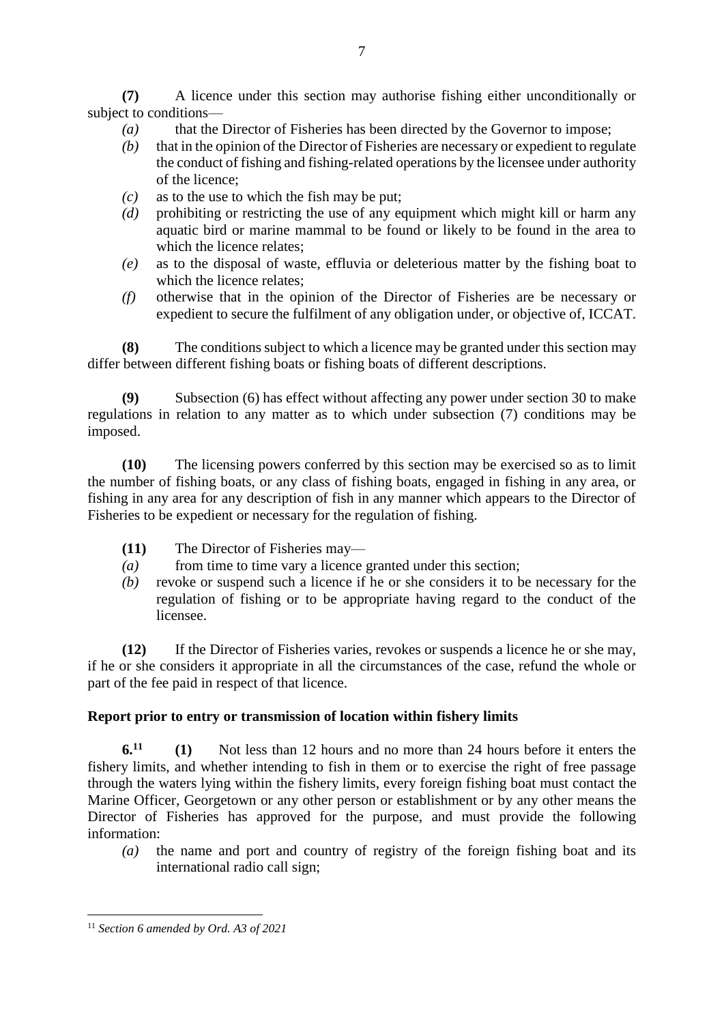**(7)** A licence under this section may authorise fishing either unconditionally or subject to conditions—

- *(a)* that the Director of Fisheries has been directed by the Governor to impose;
- *(b)* that in the opinion of the Director of Fisheries are necessary or expedient to regulate the conduct of fishing and fishing-related operations by the licensee under authority of the licence;
- *(c)* as to the use to which the fish may be put;
- *(d)* prohibiting or restricting the use of any equipment which might kill or harm any aquatic bird or marine mammal to be found or likely to be found in the area to which the licence relates;
- *(e)* as to the disposal of waste, effluvia or deleterious matter by the fishing boat to which the licence relates;
- *(f)* otherwise that in the opinion of the Director of Fisheries are be necessary or expedient to secure the fulfilment of any obligation under, or objective of, ICCAT.

**(8)** The conditions subject to which a licence may be granted under this section may differ between different fishing boats or fishing boats of different descriptions.

**(9)** Subsection (6) has effect without affecting any power under section 30 to make regulations in relation to any matter as to which under subsection (7) conditions may be imposed.

**(10)** The licensing powers conferred by this section may be exercised so as to limit the number of fishing boats, or any class of fishing boats, engaged in fishing in any area, or fishing in any area for any description of fish in any manner which appears to the Director of Fisheries to be expedient or necessary for the regulation of fishing.

- **(11)** The Director of Fisheries may—
- *(a)* from time to time vary a licence granted under this section;
- *(b)* revoke or suspend such a licence if he or she considers it to be necessary for the regulation of fishing or to be appropriate having regard to the conduct of the licensee.

**(12)** If the Director of Fisheries varies, revokes or suspends a licence he or she may, if he or she considers it appropriate in all the circumstances of the case, refund the whole or part of the fee paid in respect of that licence.

# **Report prior to entry or transmission of location within fishery limits**

**6.<sup>11</sup> (1)** Not less than 12 hours and no more than 24 hours before it enters the fishery limits, and whether intending to fish in them or to exercise the right of free passage through the waters lying within the fishery limits, every foreign fishing boat must contact the Marine Officer, Georgetown or any other person or establishment or by any other means the Director of Fisheries has approved for the purpose, and must provide the following information:

*(a)* the name and port and country of registry of the foreign fishing boat and its international radio call sign;

**<sup>.</sup>** <sup>11</sup> *Section 6 amended by Ord. A3 of 2021*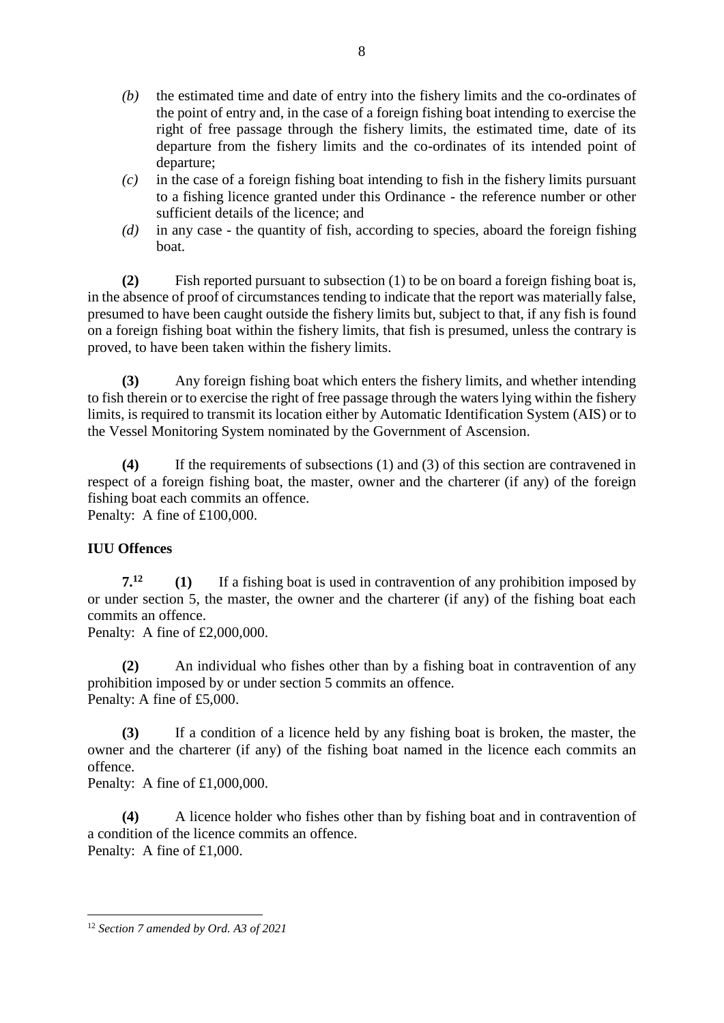- *(b)* the estimated time and date of entry into the fishery limits and the co-ordinates of the point of entry and, in the case of a foreign fishing boat intending to exercise the right of free passage through the fishery limits, the estimated time, date of its departure from the fishery limits and the co-ordinates of its intended point of departure;
- *(c)* in the case of a foreign fishing boat intending to fish in the fishery limits pursuant to a fishing licence granted under this Ordinance - the reference number or other sufficient details of the licence; and
- *(d)* in any case the quantity of fish, according to species, aboard the foreign fishing boat.

**(2)** Fish reported pursuant to subsection (1) to be on board a foreign fishing boat is, in the absence of proof of circumstances tending to indicate that the report was materially false, presumed to have been caught outside the fishery limits but, subject to that, if any fish is found on a foreign fishing boat within the fishery limits, that fish is presumed, unless the contrary is proved, to have been taken within the fishery limits.

**(3)** Any foreign fishing boat which enters the fishery limits, and whether intending to fish therein or to exercise the right of free passage through the waters lying within the fishery limits, is required to transmit its location either by Automatic Identification System (AIS) or to the Vessel Monitoring System nominated by the Government of Ascension.

**(4)** If the requirements of subsections (1) and (3) of this section are contravened in respect of a foreign fishing boat, the master, owner and the charterer (if any) of the foreign fishing boat each commits an offence. Penalty: A fine of £100,000.

# **IUU Offences**

**7.<sup>12</sup> (1)** If a fishing boat is used in contravention of any prohibition imposed by or under section 5, the master, the owner and the charterer (if any) of the fishing boat each commits an offence.

Penalty: A fine of £2,000,000.

**(2)** An individual who fishes other than by a fishing boat in contravention of any prohibition imposed by or under section 5 commits an offence. Penalty: A fine of £5,000.

**(3)** If a condition of a licence held by any fishing boat is broken, the master, the owner and the charterer (if any) of the fishing boat named in the licence each commits an offence.

Penalty: A fine of £1,000,000.

**(4)** A licence holder who fishes other than by fishing boat and in contravention of a condition of the licence commits an offence. Penalty: A fine of £1,000.

**<sup>.</sup>** <sup>12</sup> *Section 7 amended by Ord. A3 of 2021*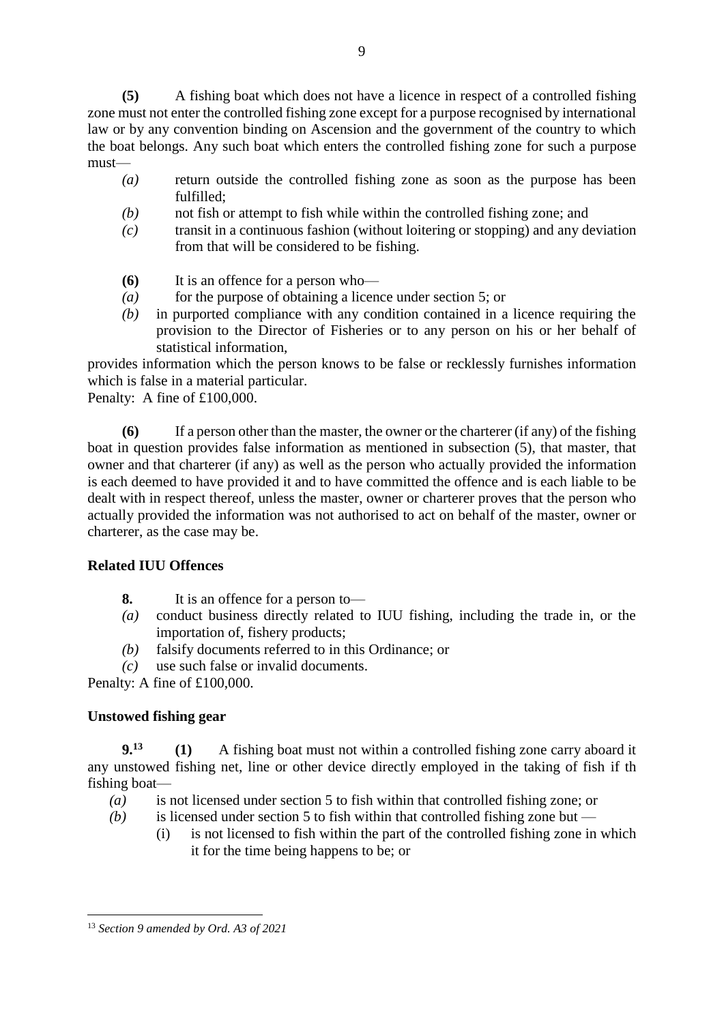**(5)** A fishing boat which does not have a licence in respect of a controlled fishing zone must not enter the controlled fishing zone except for a purpose recognised by international law or by any convention binding on Ascension and the government of the country to which the boat belongs. Any such boat which enters the controlled fishing zone for such a purpose must—

- *(a)* return outside the controlled fishing zone as soon as the purpose has been fulfilled;
- *(b)* not fish or attempt to fish while within the controlled fishing zone; and
- *(c)* transit in a continuous fashion (without loitering or stopping) and any deviation from that will be considered to be fishing.
- **(6)** It is an offence for a person who—
- *(a)* for the purpose of obtaining a licence under section 5; or
- *(b)* in purported compliance with any condition contained in a licence requiring the provision to the Director of Fisheries or to any person on his or her behalf of statistical information,

provides information which the person knows to be false or recklessly furnishes information which is false in a material particular.

Penalty: A fine of £100,000.

**(6)** If a person other than the master, the owner or the charterer (if any) of the fishing boat in question provides false information as mentioned in subsection (5), that master, that owner and that charterer (if any) as well as the person who actually provided the information is each deemed to have provided it and to have committed the offence and is each liable to be dealt with in respect thereof, unless the master, owner or charterer proves that the person who actually provided the information was not authorised to act on behalf of the master, owner or charterer, as the case may be.

# **Related IUU Offences**

- **8.** It is an offence for a person to—
- *(a)* conduct business directly related to IUU fishing, including the trade in, or the importation of, fishery products;
- *(b)* falsify documents referred to in this Ordinance; or
- *(c)* use such false or invalid documents.

Penalty: A fine of £100,000.

# **Unstowed fishing gear**

**9.<sup>13</sup> (1)** A fishing boat must not within a controlled fishing zone carry aboard it any unstowed fishing net, line or other device directly employed in the taking of fish if th fishing boat—

- *(a)* is not licensed under section 5 to fish within that controlled fishing zone; or
- *(b)* is licensed under section 5 to fish within that controlled fishing zone but
	- (i) is not licensed to fish within the part of the controlled fishing zone in which it for the time being happens to be; or

**<sup>.</sup>** <sup>13</sup> *Section 9 amended by Ord. A3 of 2021*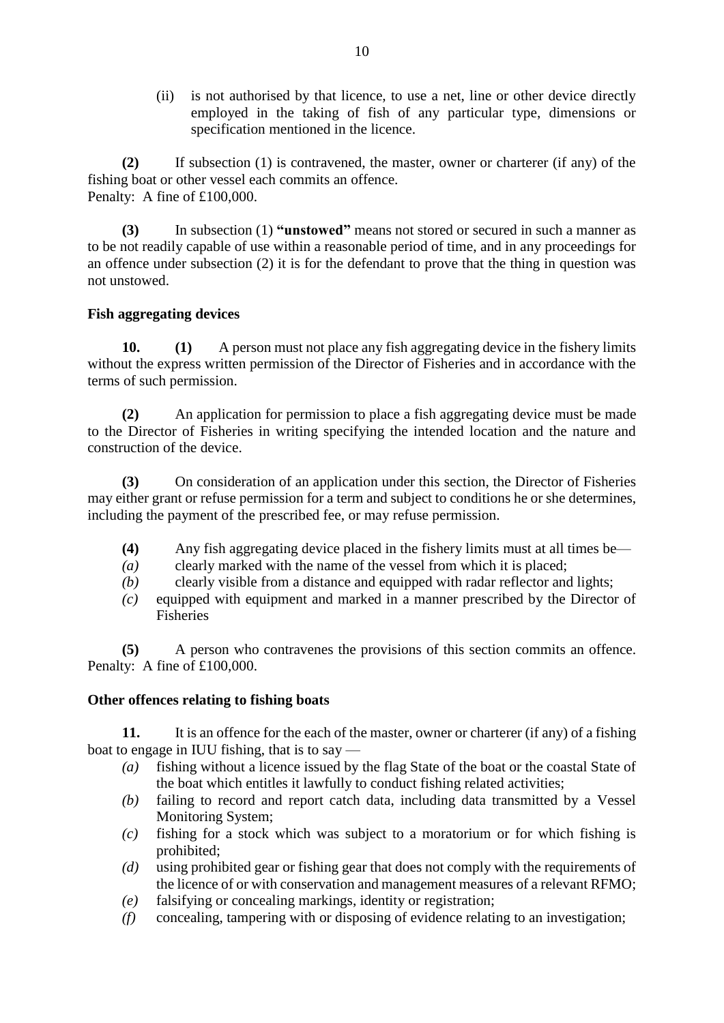(ii) is not authorised by that licence, to use a net, line or other device directly employed in the taking of fish of any particular type, dimensions or specification mentioned in the licence.

**(2)** If subsection (1) is contravened, the master, owner or charterer (if any) of the fishing boat or other vessel each commits an offence. Penalty: A fine of £100,000.

**(3)** In subsection (1) **"unstowed"** means not stored or secured in such a manner as to be not readily capable of use within a reasonable period of time, and in any proceedings for an offence under subsection (2) it is for the defendant to prove that the thing in question was not unstowed.

# **Fish aggregating devices**

**10. (1)** A person must not place any fish aggregating device in the fishery limits without the express written permission of the Director of Fisheries and in accordance with the terms of such permission.

**(2)** An application for permission to place a fish aggregating device must be made to the Director of Fisheries in writing specifying the intended location and the nature and construction of the device.

**(3)** On consideration of an application under this section, the Director of Fisheries may either grant or refuse permission for a term and subject to conditions he or she determines, including the payment of the prescribed fee, or may refuse permission.

- **(4)** Any fish aggregating device placed in the fishery limits must at all times be—
- *(a)* clearly marked with the name of the vessel from which it is placed;
- *(b)* clearly visible from a distance and equipped with radar reflector and lights;
- *(c)* equipped with equipment and marked in a manner prescribed by the Director of Fisheries

**(5)** A person who contravenes the provisions of this section commits an offence. Penalty: A fine of £100,000.

# **Other offences relating to fishing boats**

**11.** It is an offence for the each of the master, owner or charterer (if any) of a fishing boat to engage in IUU fishing, that is to say —

- *(a)* fishing without a licence issued by the flag State of the boat or the coastal State of the boat which entitles it lawfully to conduct fishing related activities;
- *(b)* failing to record and report catch data, including data transmitted by a Vessel Monitoring System;
- *(c)* fishing for a stock which was subject to a moratorium or for which fishing is prohibited;
- *(d)* using prohibited gear or fishing gear that does not comply with the requirements of the licence of or with conservation and management measures of a relevant RFMO;
- *(e)* falsifying or concealing markings, identity or registration;
- *(f)* concealing, tampering with or disposing of evidence relating to an investigation;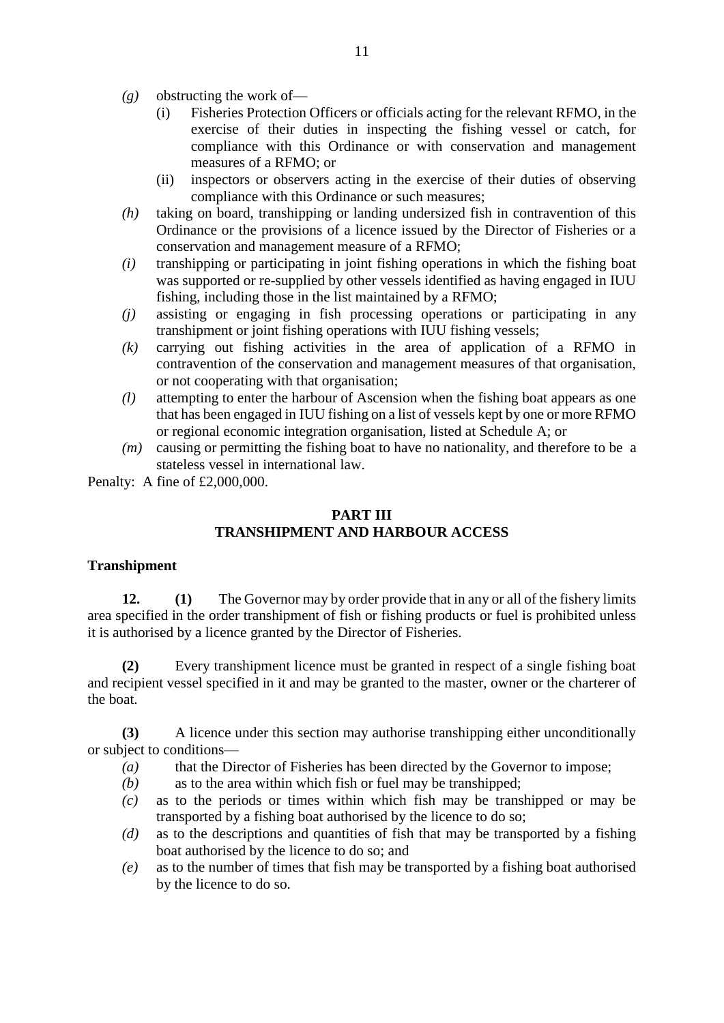- *(g)* obstructing the work of—
	- (i) Fisheries Protection Officers or officials acting for the relevant RFMO, in the exercise of their duties in inspecting the fishing vessel or catch, for compliance with this Ordinance or with conservation and management measures of a RFMO; or
	- (ii) inspectors or observers acting in the exercise of their duties of observing compliance with this Ordinance or such measures;
- *(h)* taking on board, transhipping or landing undersized fish in contravention of this Ordinance or the provisions of a licence issued by the Director of Fisheries or a conservation and management measure of a RFMO;
- *(i)* transhipping or participating in joint fishing operations in which the fishing boat was supported or re-supplied by other vessels identified as having engaged in IUU fishing, including those in the list maintained by a RFMO;
- *(j)* assisting or engaging in fish processing operations or participating in any transhipment or joint fishing operations with IUU fishing vessels;
- *(k)* carrying out fishing activities in the area of application of a RFMO in contravention of the conservation and management measures of that organisation, or not cooperating with that organisation;
- *(l)* attempting to enter the harbour of Ascension when the fishing boat appears as one that has been engaged in IUU fishing on a list of vessels kept by one or more RFMO or regional economic integration organisation, listed at Schedule A; or
- *(m)* causing or permitting the fishing boat to have no nationality, and therefore to be a stateless vessel in international law.

Penalty: A fine of £2,000,000.

# **PART III**

# **TRANSHIPMENT AND HARBOUR ACCESS**

### **Transhipment**

**12. (1)** The Governor may by order provide that in any or all of the fishery limits area specified in the order transhipment of fish or fishing products or fuel is prohibited unless it is authorised by a licence granted by the Director of Fisheries.

**(2)** Every transhipment licence must be granted in respect of a single fishing boat and recipient vessel specified in it and may be granted to the master, owner or the charterer of the boat.

**(3)** A licence under this section may authorise transhipping either unconditionally or subject to conditions—

- *(a)* that the Director of Fisheries has been directed by the Governor to impose;
- *(b)* as to the area within which fish or fuel may be transhipped;
- *(c)* as to the periods or times within which fish may be transhipped or may be transported by a fishing boat authorised by the licence to do so;
- *(d)* as to the descriptions and quantities of fish that may be transported by a fishing boat authorised by the licence to do so; and
- *(e)* as to the number of times that fish may be transported by a fishing boat authorised by the licence to do so.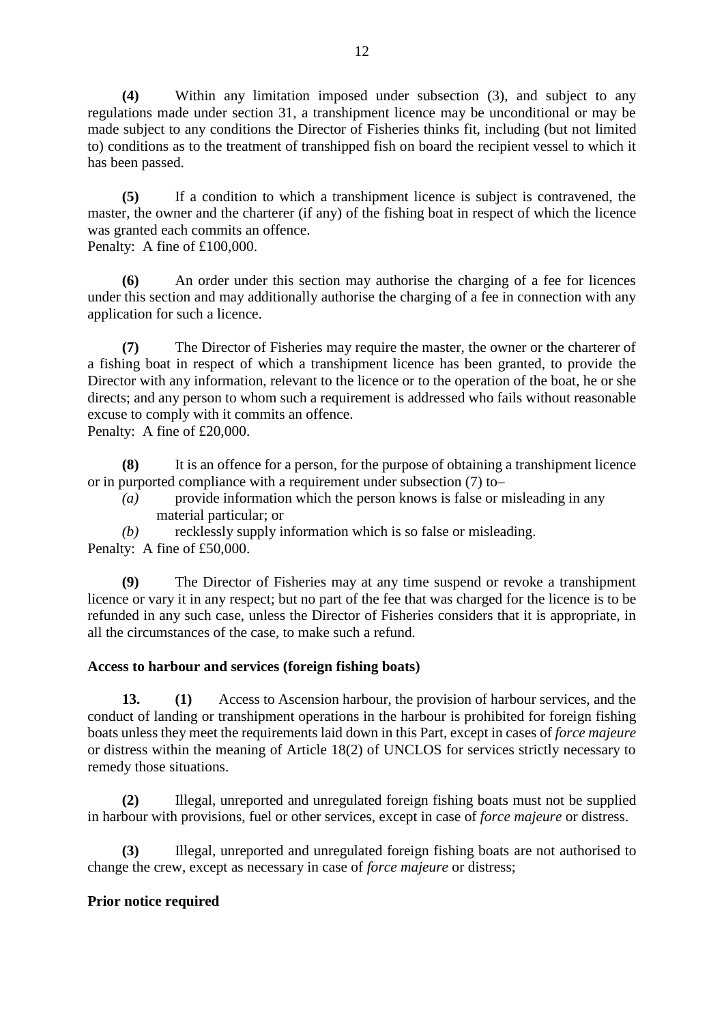**(4)** Within any limitation imposed under subsection (3), and subject to any regulations made under section 31, a transhipment licence may be unconditional or may be made subject to any conditions the Director of Fisheries thinks fit, including (but not limited to) conditions as to the treatment of transhipped fish on board the recipient vessel to which it has been passed.

**(5)** If a condition to which a transhipment licence is subject is contravened, the master, the owner and the charterer (if any) of the fishing boat in respect of which the licence was granted each commits an offence.

Penalty: A fine of £100,000.

**(6)** An order under this section may authorise the charging of a fee for licences under this section and may additionally authorise the charging of a fee in connection with any application for such a licence.

**(7)** The Director of Fisheries may require the master, the owner or the charterer of a fishing boat in respect of which a transhipment licence has been granted, to provide the Director with any information, relevant to the licence or to the operation of the boat, he or she directs; and any person to whom such a requirement is addressed who fails without reasonable excuse to comply with it commits an offence.

Penalty: A fine of £20,000.

**(8)** It is an offence for a person, for the purpose of obtaining a transhipment licence or in purported compliance with a requirement under subsection (7) to–

- *(a)* provide information which the person knows is false or misleading in any material particular; or
- *(b)* recklessly supply information which is so false or misleading.

Penalty: A fine of £50,000.

**(9)** The Director of Fisheries may at any time suspend or revoke a transhipment licence or vary it in any respect; but no part of the fee that was charged for the licence is to be refunded in any such case, unless the Director of Fisheries considers that it is appropriate, in all the circumstances of the case, to make such a refund.

# **Access to harbour and services (foreign fishing boats)**

**13. (1)** Access to Ascension harbour, the provision of harbour services, and the conduct of landing or transhipment operations in the harbour is prohibited for foreign fishing boats unless they meet the requirements laid down in this Part, except in cases of *force majeure* or distress within the meaning of Article 18(2) of UNCLOS for services strictly necessary to remedy those situations.

**(2)** Illegal, unreported and unregulated foreign fishing boats must not be supplied in harbour with provisions, fuel or other services, except in case of *force majeure* or distress.

**(3)** Illegal, unreported and unregulated foreign fishing boats are not authorised to change the crew, except as necessary in case of *force majeure* or distress;

# **Prior notice required**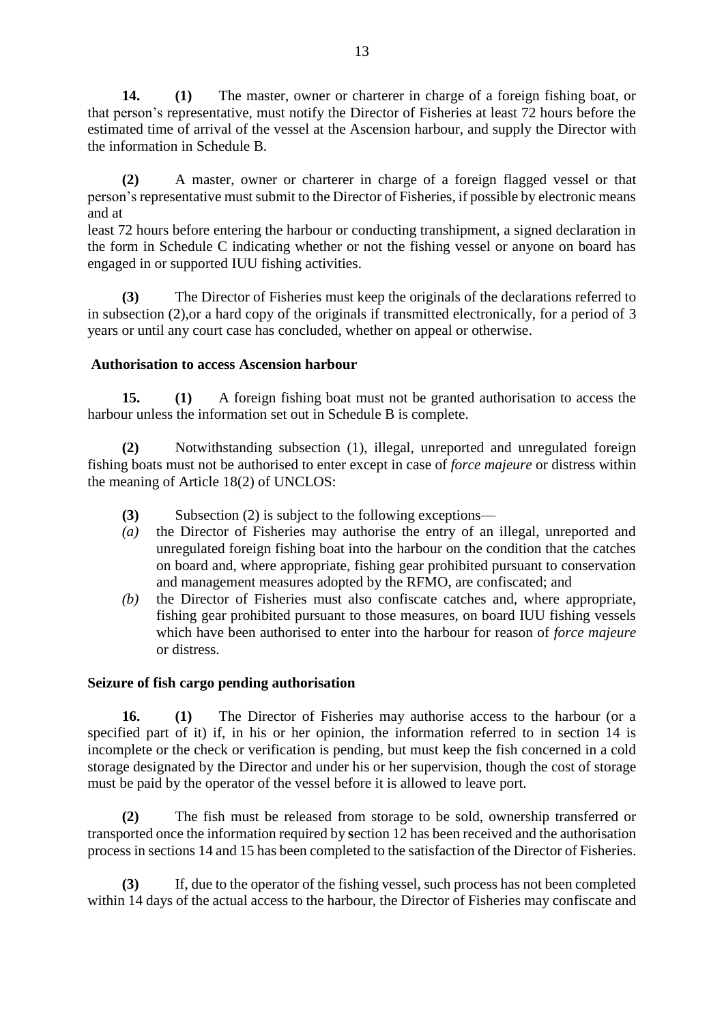**14. (1)** The master, owner or charterer in charge of a foreign fishing boat, or that person's representative, must notify the Director of Fisheries at least 72 hours before the estimated time of arrival of the vessel at the Ascension harbour, and supply the Director with the information in Schedule B.

**(2)** A master, owner or charterer in charge of a foreign flagged vessel or that person's representative must submit to the Director of Fisheries, if possible by electronic means and at

least 72 hours before entering the harbour or conducting transhipment, a signed declaration in the form in Schedule C indicating whether or not the fishing vessel or anyone on board has engaged in or supported IUU fishing activities.

**(3)** The Director of Fisheries must keep the originals of the declarations referred to in subsection (2),or a hard copy of the originals if transmitted electronically, for a period of 3 years or until any court case has concluded, whether on appeal or otherwise.

### **Authorisation to access Ascension harbour**

**15. (1)** A foreign fishing boat must not be granted authorisation to access the harbour unless the information set out in Schedule B is complete.

**(2)** Notwithstanding subsection (1), illegal, unreported and unregulated foreign fishing boats must not be authorised to enter except in case of *force majeure* or distress within the meaning of Article 18(2) of UNCLOS:

- **(3)** Subsection (2) is subject to the following exceptions—
- *(a)* the Director of Fisheries may authorise the entry of an illegal, unreported and unregulated foreign fishing boat into the harbour on the condition that the catches on board and, where appropriate, fishing gear prohibited pursuant to conservation and management measures adopted by the RFMO, are confiscated; and
- *(b)* the Director of Fisheries must also confiscate catches and, where appropriate, fishing gear prohibited pursuant to those measures, on board IUU fishing vessels which have been authorised to enter into the harbour for reason of *force majeure* or distress.

### **Seizure of fish cargo pending authorisation**

**16. (1)** The Director of Fisheries may authorise access to the harbour (or a specified part of it) if, in his or her opinion, the information referred to in section 14 is incomplete or the check or verification is pending, but must keep the fish concerned in a cold storage designated by the Director and under his or her supervision, though the cost of storage must be paid by the operator of the vessel before it is allowed to leave port.

**(2)** The fish must be released from storage to be sold, ownership transferred or transported once the information required by **s**ection 12 has been received and the authorisation process in sections 14 and 15 has been completed to the satisfaction of the Director of Fisheries.

**(3)** If, due to the operator of the fishing vessel, such process has not been completed within 14 days of the actual access to the harbour, the Director of Fisheries may confiscate and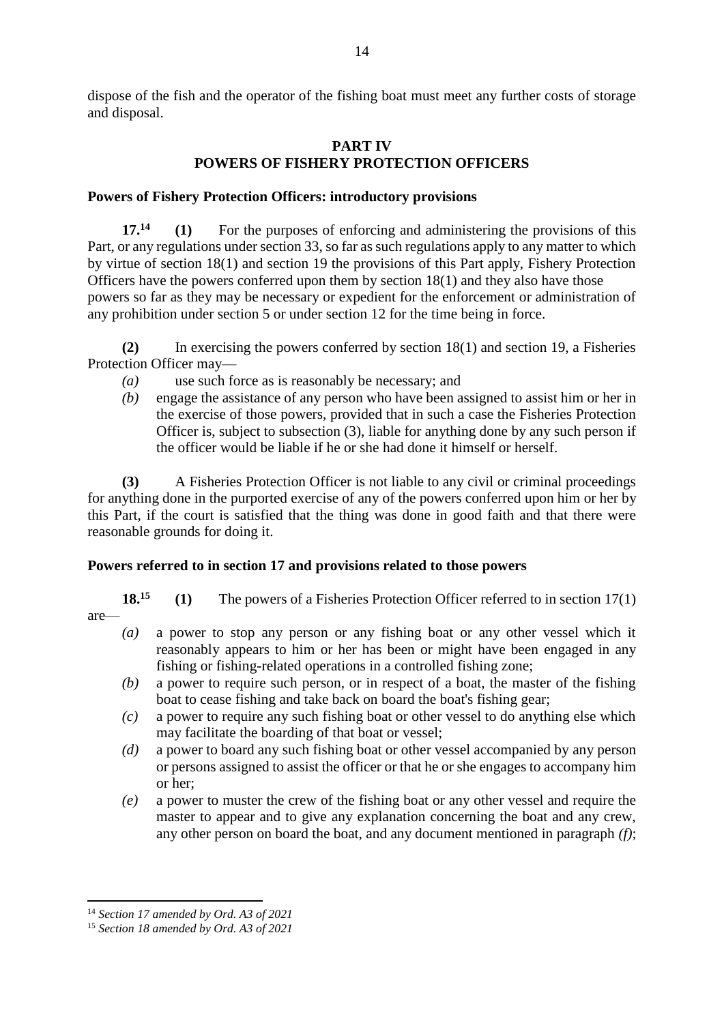dispose of the fish and the operator of the fishing boat must meet any further costs of storage and disposal.

### **PART IV POWERS OF FISHERY PROTECTION OFFICERS**

### **Powers of Fishery Protection Officers: introductory provisions**

**17.<sup>14</sup> (1)** For the purposes of enforcing and administering the provisions of this Part, or any regulations under section 33, so far as such regulations apply to any matter to which by virtue of section 18(1) and section 19 the provisions of this Part apply, Fishery Protection Officers have the powers conferred upon them by section 18(1) and they also have those powers so far as they may be necessary or expedient for the enforcement or administration of any prohibition under section 5 or under section 12 for the time being in force.

**(2)** In exercising the powers conferred by section 18(1) and section 19, a Fisheries Protection Officer may—

- *(a)* use such force as is reasonably be necessary; and
- *(b)* engage the assistance of any person who have been assigned to assist him or her in the exercise of those powers, provided that in such a case the Fisheries Protection Officer is, subject to subsection (3), liable for anything done by any such person if the officer would be liable if he or she had done it himself or herself.

**(3)** A Fisheries Protection Officer is not liable to any civil or criminal proceedings for anything done in the purported exercise of any of the powers conferred upon him or her by this Part, if the court is satisfied that the thing was done in good faith and that there were reasonable grounds for doing it.

### **Powers referred to in section 17 and provisions related to those powers**

**18.<sup>15</sup> (1)** The powers of a Fisheries Protection Officer referred to in section 17(1) are—

- *(a)* a power to stop any person or any fishing boat or any other vessel which it reasonably appears to him or her has been or might have been engaged in any fishing or fishing-related operations in a controlled fishing zone;
- *(b)* a power to require such person, or in respect of a boat, the master of the fishing boat to cease fishing and take back on board the boat's fishing gear;
- *(c)* a power to require any such fishing boat or other vessel to do anything else which may facilitate the boarding of that boat or vessel;
- *(d)* a power to board any such fishing boat or other vessel accompanied by any person or persons assigned to assist the officer or that he or she engages to accompany him or her;
- *(e)* a power to muster the crew of the fishing boat or any other vessel and require the master to appear and to give any explanation concerning the boat and any crew, any other person on board the boat, and any document mentioned in paragraph *(f)*;

**.** 

<sup>14</sup> *Section 17 amended by Ord. A3 of 2021*

<sup>15</sup> *Section 18 amended by Ord. A3 of 2021*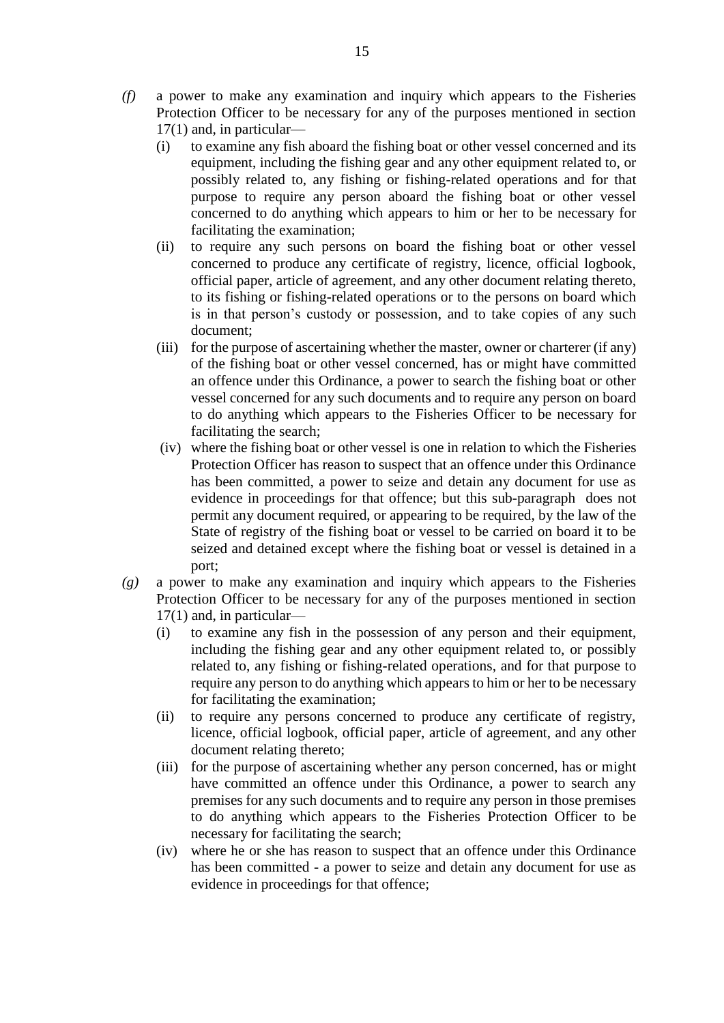- *(f)* a power to make any examination and inquiry which appears to the Fisheries Protection Officer to be necessary for any of the purposes mentioned in section 17(1) and, in particular—
	- (i) to examine any fish aboard the fishing boat or other vessel concerned and its equipment, including the fishing gear and any other equipment related to, or possibly related to, any fishing or fishing-related operations and for that purpose to require any person aboard the fishing boat or other vessel concerned to do anything which appears to him or her to be necessary for facilitating the examination;
	- (ii) to require any such persons on board the fishing boat or other vessel concerned to produce any certificate of registry, licence, official logbook, official paper, article of agreement, and any other document relating thereto, to its fishing or fishing-related operations or to the persons on board which is in that person's custody or possession, and to take copies of any such document;
	- (iii) for the purpose of ascertaining whether the master, owner or charterer (if any) of the fishing boat or other vessel concerned, has or might have committed an offence under this Ordinance, a power to search the fishing boat or other vessel concerned for any such documents and to require any person on board to do anything which appears to the Fisheries Officer to be necessary for facilitating the search;
	- (iv) where the fishing boat or other vessel is one in relation to which the Fisheries Protection Officer has reason to suspect that an offence under this Ordinance has been committed, a power to seize and detain any document for use as evidence in proceedings for that offence; but this sub-paragraph does not permit any document required, or appearing to be required, by the law of the State of registry of the fishing boat or vessel to be carried on board it to be seized and detained except where the fishing boat or vessel is detained in a port;
- *(g)* a power to make any examination and inquiry which appears to the Fisheries Protection Officer to be necessary for any of the purposes mentioned in section 17(1) and, in particular—
	- (i) to examine any fish in the possession of any person and their equipment, including the fishing gear and any other equipment related to, or possibly related to, any fishing or fishing-related operations, and for that purpose to require any person to do anything which appears to him or her to be necessary for facilitating the examination;
	- (ii) to require any persons concerned to produce any certificate of registry, licence, official logbook, official paper, article of agreement, and any other document relating thereto;
	- (iii) for the purpose of ascertaining whether any person concerned, has or might have committed an offence under this Ordinance, a power to search any premises for any such documents and to require any person in those premises to do anything which appears to the Fisheries Protection Officer to be necessary for facilitating the search;
	- (iv) where he or she has reason to suspect that an offence under this Ordinance has been committed - a power to seize and detain any document for use as evidence in proceedings for that offence;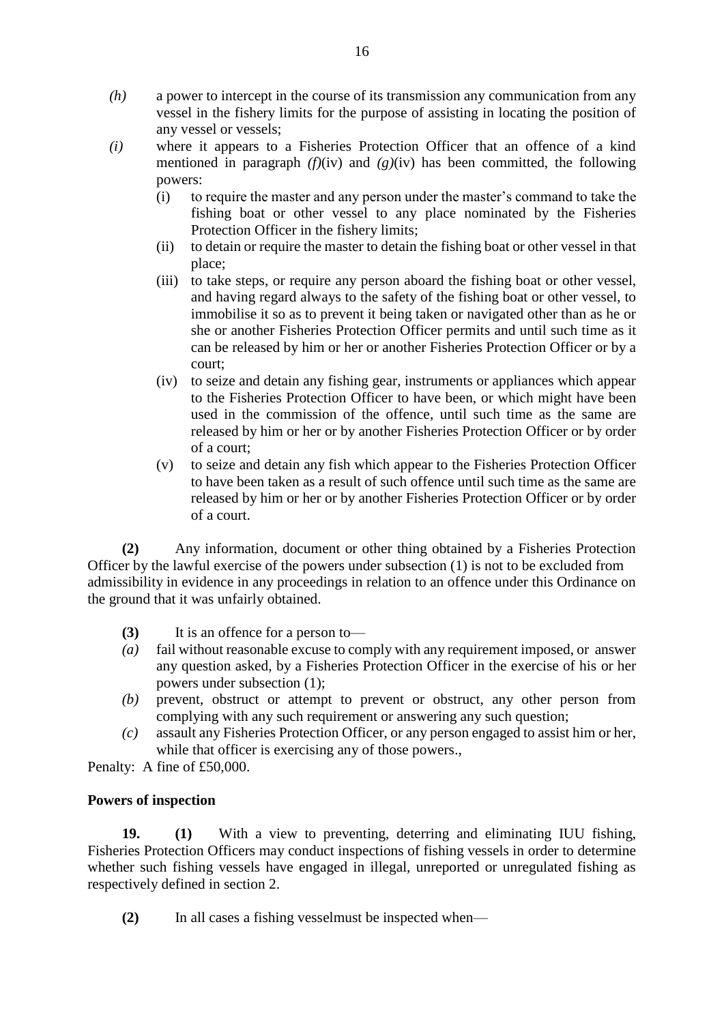- *(h)* a power to intercept in the course of its transmission any communication from any vessel in the fishery limits for the purpose of assisting in locating the position of any vessel or vessels;
- *(i)* where it appears to a Fisheries Protection Officer that an offence of a kind mentioned in paragraph  $(f)(iv)$  and  $(g)(iv)$  has been committed, the following powers:
	- (i) to require the master and any person under the master's command to take the fishing boat or other vessel to any place nominated by the Fisheries Protection Officer in the fishery limits;
	- (ii) to detain or require the master to detain the fishing boat or other vessel in that place;
	- (iii) to take steps, or require any person aboard the fishing boat or other vessel, and having regard always to the safety of the fishing boat or other vessel, to immobilise it so as to prevent it being taken or navigated other than as he or she or another Fisheries Protection Officer permits and until such time as it can be released by him or her or another Fisheries Protection Officer or by a court;
	- (iv) to seize and detain any fishing gear, instruments or appliances which appear to the Fisheries Protection Officer to have been, or which might have been used in the commission of the offence, until such time as the same are released by him or her or by another Fisheries Protection Officer or by order of a court;
	- (v) to seize and detain any fish which appear to the Fisheries Protection Officer to have been taken as a result of such offence until such time as the same are released by him or her or by another Fisheries Protection Officer or by order of a court.

**(2)** Any information, document or other thing obtained by a Fisheries Protection Officer by the lawful exercise of the powers under subsection (1) is not to be excluded from admissibility in evidence in any proceedings in relation to an offence under this Ordinance on the ground that it was unfairly obtained.

- **(3)** It is an offence for a person to—
- *(a)* fail without reasonable excuse to comply with any requirement imposed, or answer any question asked, by a Fisheries Protection Officer in the exercise of his or her powers under subsection (1);
- *(b)* prevent, obstruct or attempt to prevent or obstruct, any other person from complying with any such requirement or answering any such question;
- *(c)* assault any Fisheries Protection Officer, or any person engaged to assist him or her, while that officer is exercising any of those powers.,

Penalty: A fine of £50,000.

# **Powers of inspection**

**19. (1)** With a view to preventing, deterring and eliminating IUU fishing, Fisheries Protection Officers may conduct inspections of fishing vessels in order to determine whether such fishing vessels have engaged in illegal, unreported or unregulated fishing as respectively defined in section 2.

**(2)** In all cases a fishing vesselmust be inspected when—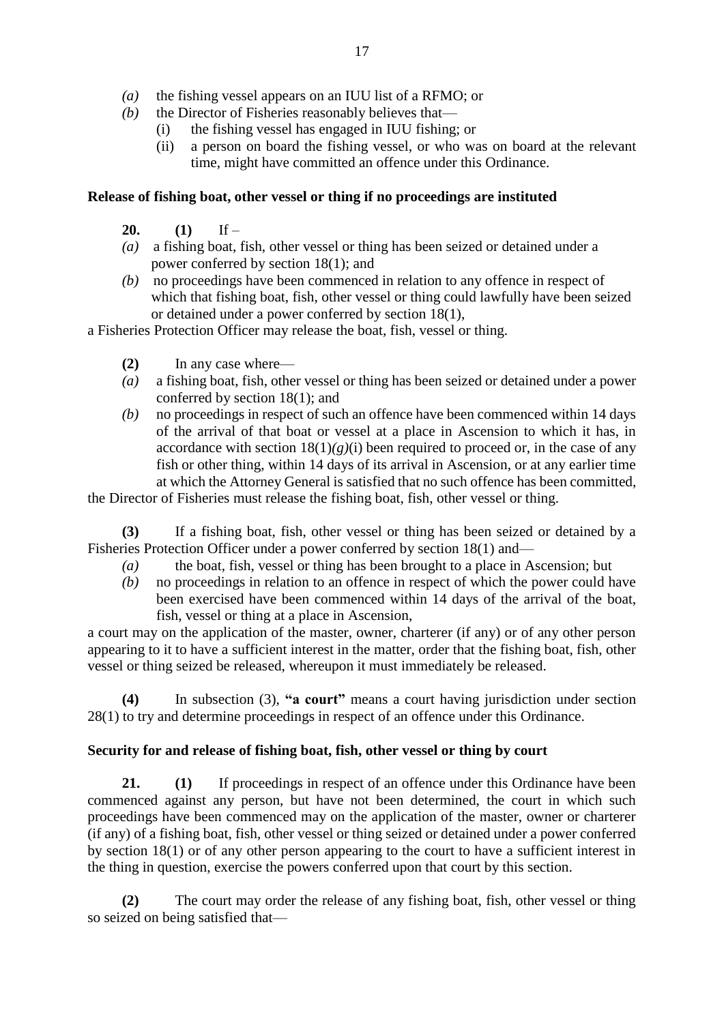- *(a)* the fishing vessel appears on an IUU list of a RFMO; or
- *(b)* the Director of Fisheries reasonably believes that—
	- (i) the fishing vessel has engaged in IUU fishing; or
	- (ii) a person on board the fishing vessel, or who was on board at the relevant time, might have committed an offence under this Ordinance.

### **Release of fishing boat, other vessel or thing if no proceedings are instituted**

- **20. (1)** If –
- *(a)* a fishing boat, fish, other vessel or thing has been seized or detained under a power conferred by section 18(1); and
- *(b)* no proceedings have been commenced in relation to any offence in respect of which that fishing boat, fish, other vessel or thing could lawfully have been seized or detained under a power conferred by section 18(1),

a Fisheries Protection Officer may release the boat, fish, vessel or thing.

- **(2)** In any case where—
- *(a)* a fishing boat, fish, other vessel or thing has been seized or detained under a power conferred by section 18(1); and
- *(b)* no proceedings in respect of such an offence have been commenced within 14 days of the arrival of that boat or vessel at a place in Ascension to which it has, in accordance with section  $18(1)(g)(i)$  been required to proceed or, in the case of any fish or other thing, within 14 days of its arrival in Ascension, or at any earlier time at which the Attorney General is satisfied that no such offence has been committed,

the Director of Fisheries must release the fishing boat, fish, other vessel or thing.

**(3)** If a fishing boat, fish, other vessel or thing has been seized or detained by a Fisheries Protection Officer under a power conferred by section 18(1) and—

- *(a)* the boat, fish, vessel or thing has been brought to a place in Ascension; but
- *(b)* no proceedings in relation to an offence in respect of which the power could have been exercised have been commenced within 14 days of the arrival of the boat, fish, vessel or thing at a place in Ascension,

a court may on the application of the master, owner, charterer (if any) or of any other person appearing to it to have a sufficient interest in the matter, order that the fishing boat, fish, other vessel or thing seized be released, whereupon it must immediately be released.

**(4)** In subsection (3), **"a court"** means a court having jurisdiction under section 28(1) to try and determine proceedings in respect of an offence under this Ordinance.

### **Security for and release of fishing boat, fish, other vessel or thing by court**

**21. (1)** If proceedings in respect of an offence under this Ordinance have been commenced against any person, but have not been determined, the court in which such proceedings have been commenced may on the application of the master, owner or charterer (if any) of a fishing boat, fish, other vessel or thing seized or detained under a power conferred by section 18(1) or of any other person appearing to the court to have a sufficient interest in the thing in question, exercise the powers conferred upon that court by this section.

**(2)** The court may order the release of any fishing boat, fish, other vessel or thing so seized on being satisfied that—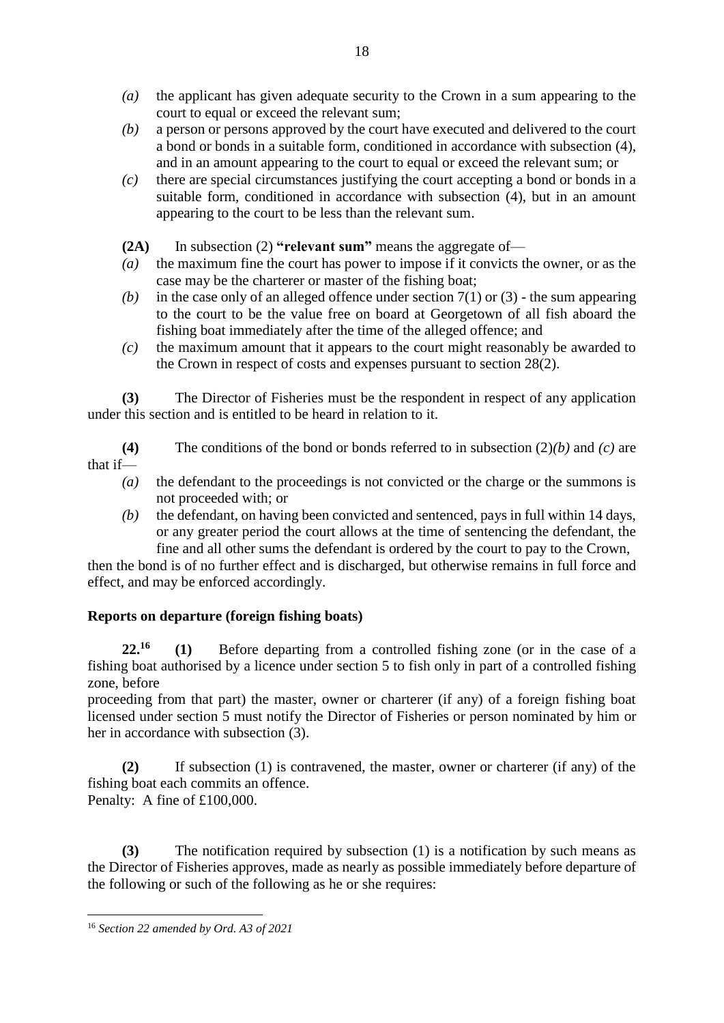- *(a)* the applicant has given adequate security to the Crown in a sum appearing to the court to equal or exceed the relevant sum;
- *(b)* a person or persons approved by the court have executed and delivered to the court a bond or bonds in a suitable form, conditioned in accordance with subsection (4), and in an amount appearing to the court to equal or exceed the relevant sum; or
- *(c)* there are special circumstances justifying the court accepting a bond or bonds in a suitable form, conditioned in accordance with subsection (4), but in an amount appearing to the court to be less than the relevant sum.

**(2A)** In subsection (2) **"relevant sum"** means the aggregate of—

- *(a)* the maximum fine the court has power to impose if it convicts the owner, or as the case may be the charterer or master of the fishing boat;
- *(b)* in the case only of an alleged offence under section 7(1) or (3) the sum appearing to the court to be the value free on board at Georgetown of all fish aboard the fishing boat immediately after the time of the alleged offence; and
- *(c)* the maximum amount that it appears to the court might reasonably be awarded to the Crown in respect of costs and expenses pursuant to section 28(2).

**(3)** The Director of Fisheries must be the respondent in respect of any application under this section and is entitled to be heard in relation to it.

**(4)** The conditions of the bond or bonds referred to in subsection (2)*(b)* and *(c)* are that if—

- *(a)* the defendant to the proceedings is not convicted or the charge or the summons is not proceeded with; or
- *(b)* the defendant, on having been convicted and sentenced, pays in full within 14 days, or any greater period the court allows at the time of sentencing the defendant, the fine and all other sums the defendant is ordered by the court to pay to the Crown,

then the bond is of no further effect and is discharged, but otherwise remains in full force and effect, and may be enforced accordingly.

# **Reports on departure (foreign fishing boats)**

**22.<sup>16</sup> (1)** Before departing from a controlled fishing zone (or in the case of a fishing boat authorised by a licence under section 5 to fish only in part of a controlled fishing zone, before

proceeding from that part) the master, owner or charterer (if any) of a foreign fishing boat licensed under section 5 must notify the Director of Fisheries or person nominated by him or her in accordance with subsection (3).

**(2)** If subsection (1) is contravened, the master, owner or charterer (if any) of the fishing boat each commits an offence. Penalty: A fine of £100,000.

**(3)** The notification required by subsection (1) is a notification by such means as the Director of Fisheries approves, made as nearly as possible immediately before departure of the following or such of the following as he or she requires:

**<sup>.</sup>** <sup>16</sup> *Section 22 amended by Ord. A3 of 2021*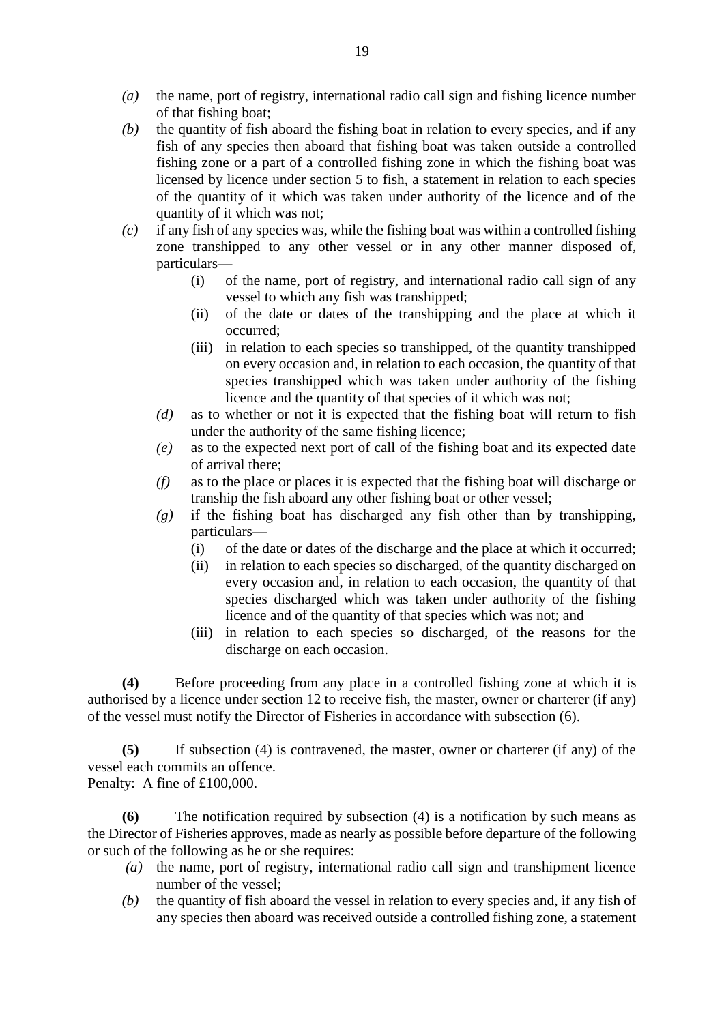- *(a)* the name, port of registry, international radio call sign and fishing licence number of that fishing boat;
- *(b)* the quantity of fish aboard the fishing boat in relation to every species, and if any fish of any species then aboard that fishing boat was taken outside a controlled fishing zone or a part of a controlled fishing zone in which the fishing boat was licensed by licence under section 5 to fish, a statement in relation to each species of the quantity of it which was taken under authority of the licence and of the quantity of it which was not;
- *(c)* if any fish of any species was, while the fishing boat was within a controlled fishing zone transhipped to any other vessel or in any other manner disposed of, particulars—
	- (i) of the name, port of registry, and international radio call sign of any vessel to which any fish was transhipped;
	- (ii) of the date or dates of the transhipping and the place at which it occurred;
	- (iii) in relation to each species so transhipped, of the quantity transhipped on every occasion and, in relation to each occasion, the quantity of that species transhipped which was taken under authority of the fishing licence and the quantity of that species of it which was not;
	- *(d)* as to whether or not it is expected that the fishing boat will return to fish under the authority of the same fishing licence;
	- *(e)* as to the expected next port of call of the fishing boat and its expected date of arrival there;
	- *(f)* as to the place or places it is expected that the fishing boat will discharge or tranship the fish aboard any other fishing boat or other vessel;
	- *(g)* if the fishing boat has discharged any fish other than by transhipping, particulars—
		- (i) of the date or dates of the discharge and the place at which it occurred;
		- (ii) in relation to each species so discharged, of the quantity discharged on every occasion and, in relation to each occasion, the quantity of that species discharged which was taken under authority of the fishing licence and of the quantity of that species which was not; and
		- (iii) in relation to each species so discharged, of the reasons for the discharge on each occasion.

**(4)** Before proceeding from any place in a controlled fishing zone at which it is authorised by a licence under section 12 to receive fish, the master, owner or charterer (if any) of the vessel must notify the Director of Fisheries in accordance with subsection (6).

**(5)** If subsection (4) is contravened, the master, owner or charterer (if any) of the vessel each commits an offence.

Penalty: A fine of £100,000.

**(6)** The notification required by subsection (4) is a notification by such means as the Director of Fisheries approves, made as nearly as possible before departure of the following or such of the following as he or she requires:

- *(a)* the name, port of registry, international radio call sign and transhipment licence number of the vessel;
- *(b)* the quantity of fish aboard the vessel in relation to every species and, if any fish of any species then aboard was received outside a controlled fishing zone, a statement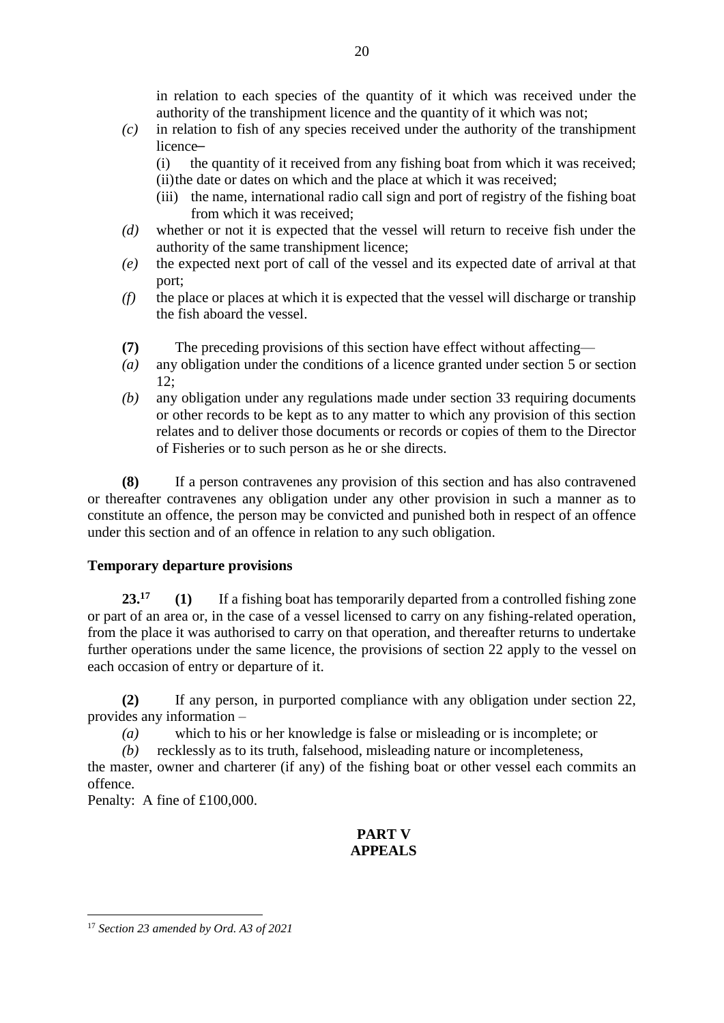in relation to each species of the quantity of it which was received under the authority of the transhipment licence and the quantity of it which was not;

- *(c)* in relation to fish of any species received under the authority of the transhipment licence-
	- (i) the quantity of it received from any fishing boat from which it was received; (ii)the date or dates on which and the place at which it was received;
	- (iii) the name, international radio call sign and port of registry of the fishing boat from which it was received;
- *(d)* whether or not it is expected that the vessel will return to receive fish under the authority of the same transhipment licence;
- *(e)* the expected next port of call of the vessel and its expected date of arrival at that port;
- *(f)* the place or places at which it is expected that the vessel will discharge or tranship the fish aboard the vessel.
- **(7)** The preceding provisions of this section have effect without affecting—
- *(a)* any obligation under the conditions of a licence granted under section 5 or section 12;
- *(b)* any obligation under any regulations made under section 33 requiring documents or other records to be kept as to any matter to which any provision of this section relates and to deliver those documents or records or copies of them to the Director of Fisheries or to such person as he or she directs.

**(8)** If a person contravenes any provision of this section and has also contravened or thereafter contravenes any obligation under any other provision in such a manner as to constitute an offence, the person may be convicted and punished both in respect of an offence under this section and of an offence in relation to any such obligation.

# **Temporary departure provisions**

**23.<sup>17</sup> (1)** If a fishing boat has temporarily departed from a controlled fishing zone or part of an area or, in the case of a vessel licensed to carry on any fishing-related operation, from the place it was authorised to carry on that operation, and thereafter returns to undertake further operations under the same licence, the provisions of section 22 apply to the vessel on each occasion of entry or departure of it.

**(2)** If any person, in purported compliance with any obligation under section 22, provides any information –

*(a)* which to his or her knowledge is false or misleading or is incomplete; or

*(b)* recklessly as to its truth, falsehood, misleading nature or incompleteness,

the master, owner and charterer (if any) of the fishing boat or other vessel each commits an offence.

Penalty: A fine of £100,000.

# **PART V APPEALS**

**<sup>.</sup>** <sup>17</sup> *Section 23 amended by Ord. A3 of 2021*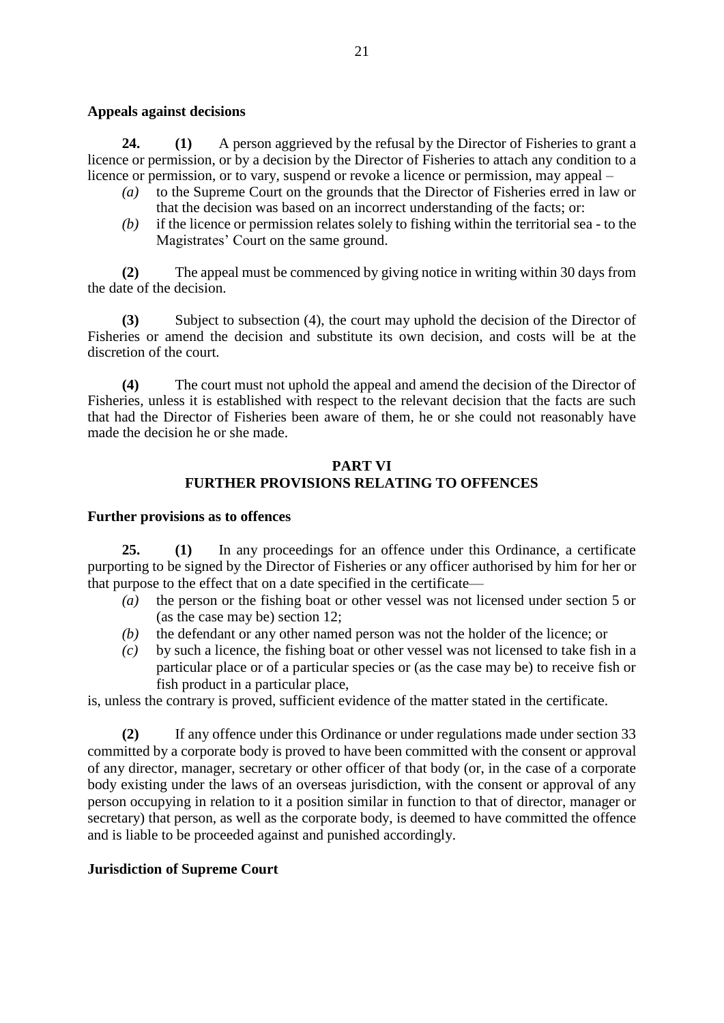#### **Appeals against decisions**

**24. (1)** A person aggrieved by the refusal by the Director of Fisheries to grant a licence or permission, or by a decision by the Director of Fisheries to attach any condition to a licence or permission, or to vary, suspend or revoke a licence or permission, may appeal –

- *(a)* to the Supreme Court on the grounds that the Director of Fisheries erred in law or that the decision was based on an incorrect understanding of the facts; or:
- *(b)* if the licence or permission relates solely to fishing within the territorial sea to the Magistrates' Court on the same ground.

**(2)** The appeal must be commenced by giving notice in writing within 30 days from the date of the decision.

**(3)** Subject to subsection (4), the court may uphold the decision of the Director of Fisheries or amend the decision and substitute its own decision, and costs will be at the discretion of the court.

**(4)** The court must not uphold the appeal and amend the decision of the Director of Fisheries, unless it is established with respect to the relevant decision that the facts are such that had the Director of Fisheries been aware of them, he or she could not reasonably have made the decision he or she made.

### **PART VI FURTHER PROVISIONS RELATING TO OFFENCES**

#### **Further provisions as to offences**

**25. (1)** In any proceedings for an offence under this Ordinance, a certificate purporting to be signed by the Director of Fisheries or any officer authorised by him for her or that purpose to the effect that on a date specified in the certificate—

- *(a)* the person or the fishing boat or other vessel was not licensed under section 5 or (as the case may be) section 12;
- *(b)* the defendant or any other named person was not the holder of the licence; or
- *(c)* by such a licence, the fishing boat or other vessel was not licensed to take fish in a particular place or of a particular species or (as the case may be) to receive fish or fish product in a particular place,

is, unless the contrary is proved, sufficient evidence of the matter stated in the certificate.

**(2)** If any offence under this Ordinance or under regulations made under section 33 committed by a corporate body is proved to have been committed with the consent or approval of any director, manager, secretary or other officer of that body (or, in the case of a corporate body existing under the laws of an overseas jurisdiction, with the consent or approval of any person occupying in relation to it a position similar in function to that of director, manager or secretary) that person, as well as the corporate body, is deemed to have committed the offence and is liable to be proceeded against and punished accordingly.

### **Jurisdiction of Supreme Court**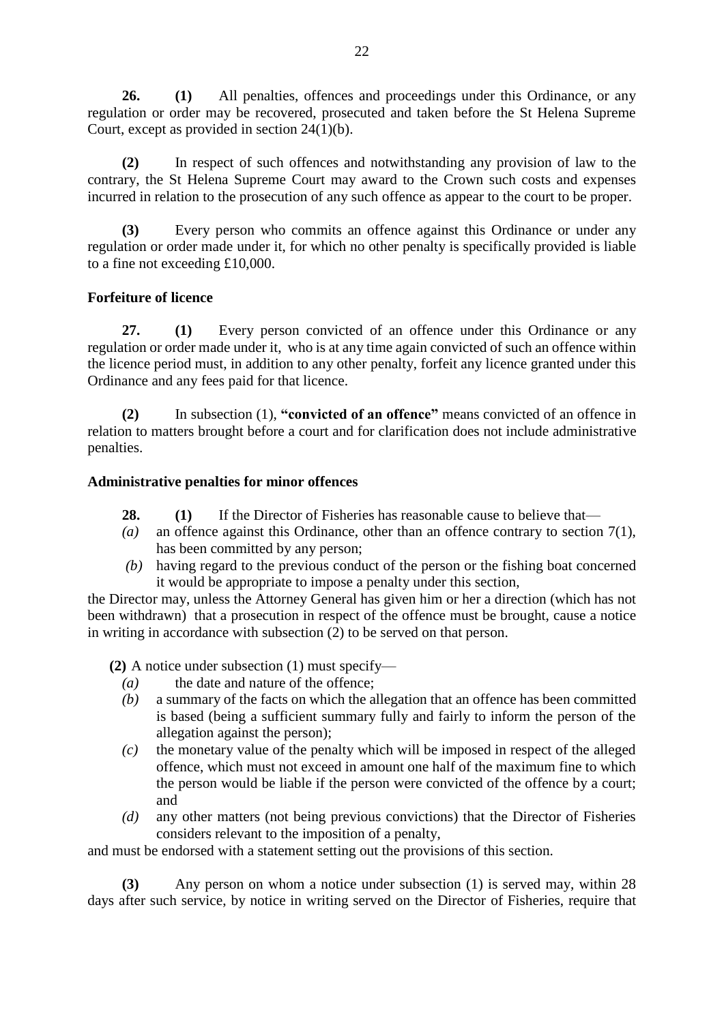**26. (1)** All penalties, offences and proceedings under this Ordinance, or any regulation or order may be recovered, prosecuted and taken before the St Helena Supreme Court, except as provided in section 24(1)(b).

**(2)** In respect of such offences and notwithstanding any provision of law to the contrary, the St Helena Supreme Court may award to the Crown such costs and expenses incurred in relation to the prosecution of any such offence as appear to the court to be proper.

**(3)** Every person who commits an offence against this Ordinance or under any regulation or order made under it, for which no other penalty is specifically provided is liable to a fine not exceeding £10,000.

### **Forfeiture of licence**

**27. (1)** Every person convicted of an offence under this Ordinance or any regulation or order made under it, who is at any time again convicted of such an offence within the licence period must, in addition to any other penalty, forfeit any licence granted under this Ordinance and any fees paid for that licence.

**(2)** In subsection (1), **"convicted of an offence"** means convicted of an offence in relation to matters brought before a court and for clarification does not include administrative penalties.

### **Administrative penalties for minor offences**

- **28. (1)** If the Director of Fisheries has reasonable cause to believe that—
- *(a)* an offence against this Ordinance, other than an offence contrary to section 7(1), has been committed by any person;
- *(b)* having regard to the previous conduct of the person or the fishing boat concerned it would be appropriate to impose a penalty under this section,

the Director may, unless the Attorney General has given him or her a direction (which has not been withdrawn) that a prosecution in respect of the offence must be brought, cause a notice in writing in accordance with subsection (2) to be served on that person.

**(2)** A notice under subsection (1) must specify—

- *(a)* the date and nature of the offence;
- *(b)* a summary of the facts on which the allegation that an offence has been committed is based (being a sufficient summary fully and fairly to inform the person of the allegation against the person);
- *(c)* the monetary value of the penalty which will be imposed in respect of the alleged offence, which must not exceed in amount one half of the maximum fine to which the person would be liable if the person were convicted of the offence by a court; and
- *(d)* any other matters (not being previous convictions) that the Director of Fisheries considers relevant to the imposition of a penalty,

and must be endorsed with a statement setting out the provisions of this section.

**(3)** Any person on whom a notice under subsection (1) is served may, within 28 days after such service, by notice in writing served on the Director of Fisheries, require that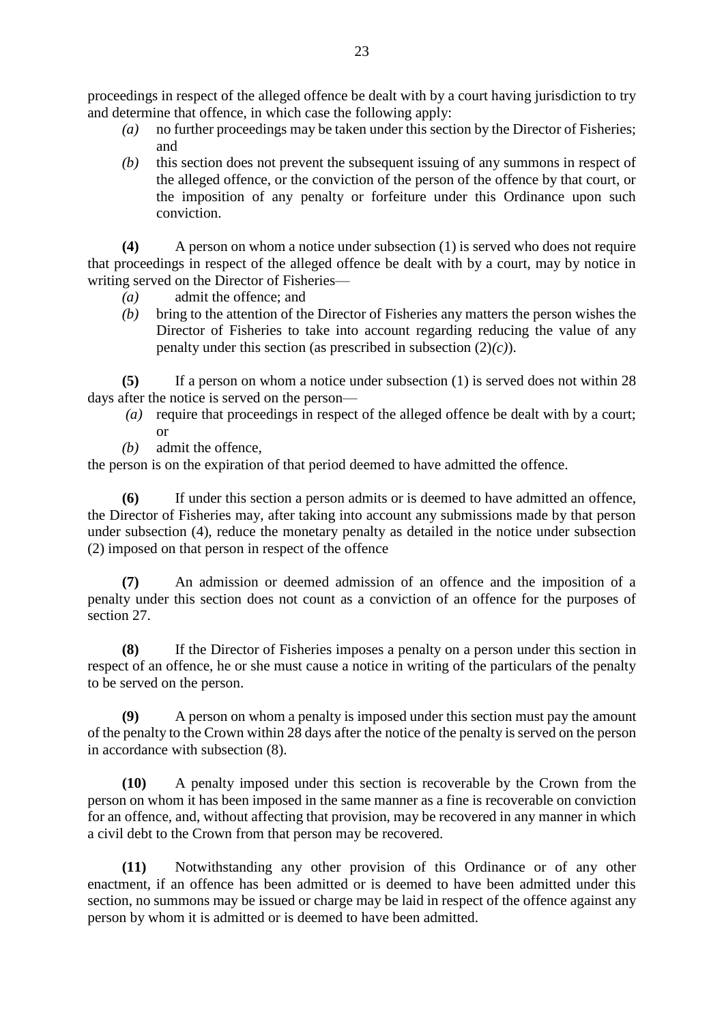proceedings in respect of the alleged offence be dealt with by a court having jurisdiction to try and determine that offence, in which case the following apply:

- *(a)* no further proceedings may be taken under this section by the Director of Fisheries; and
- *(b)* this section does not prevent the subsequent issuing of any summons in respect of the alleged offence, or the conviction of the person of the offence by that court, or the imposition of any penalty or forfeiture under this Ordinance upon such conviction.

**(4)** A person on whom a notice under subsection (1) is served who does not require that proceedings in respect of the alleged offence be dealt with by a court, may by notice in writing served on the Director of Fisheries—

- *(a)* admit the offence; and
- *(b)* bring to the attention of the Director of Fisheries any matters the person wishes the Director of Fisheries to take into account regarding reducing the value of any penalty under this section (as prescribed in subsection (2)*(c)*).

**(5)** If a person on whom a notice under subsection (1) is served does not within 28 days after the notice is served on the person—

- *(a)* require that proceedings in respect of the alleged offence be dealt with by a court; or
- *(b)* admit the offence,

the person is on the expiration of that period deemed to have admitted the offence.

**(6)** If under this section a person admits or is deemed to have admitted an offence, the Director of Fisheries may, after taking into account any submissions made by that person under subsection (4), reduce the monetary penalty as detailed in the notice under subsection (2) imposed on that person in respect of the offence

**(7)** An admission or deemed admission of an offence and the imposition of a penalty under this section does not count as a conviction of an offence for the purposes of section 27.

**(8)** If the Director of Fisheries imposes a penalty on a person under this section in respect of an offence, he or she must cause a notice in writing of the particulars of the penalty to be served on the person.

**(9)** A person on whom a penalty is imposed under this section must pay the amount of the penalty to the Crown within 28 days after the notice of the penalty is served on the person in accordance with subsection (8).

**(10)** A penalty imposed under this section is recoverable by the Crown from the person on whom it has been imposed in the same manner as a fine is recoverable on conviction for an offence, and, without affecting that provision, may be recovered in any manner in which a civil debt to the Crown from that person may be recovered.

**(11)** Notwithstanding any other provision of this Ordinance or of any other enactment, if an offence has been admitted or is deemed to have been admitted under this section, no summons may be issued or charge may be laid in respect of the offence against any person by whom it is admitted or is deemed to have been admitted.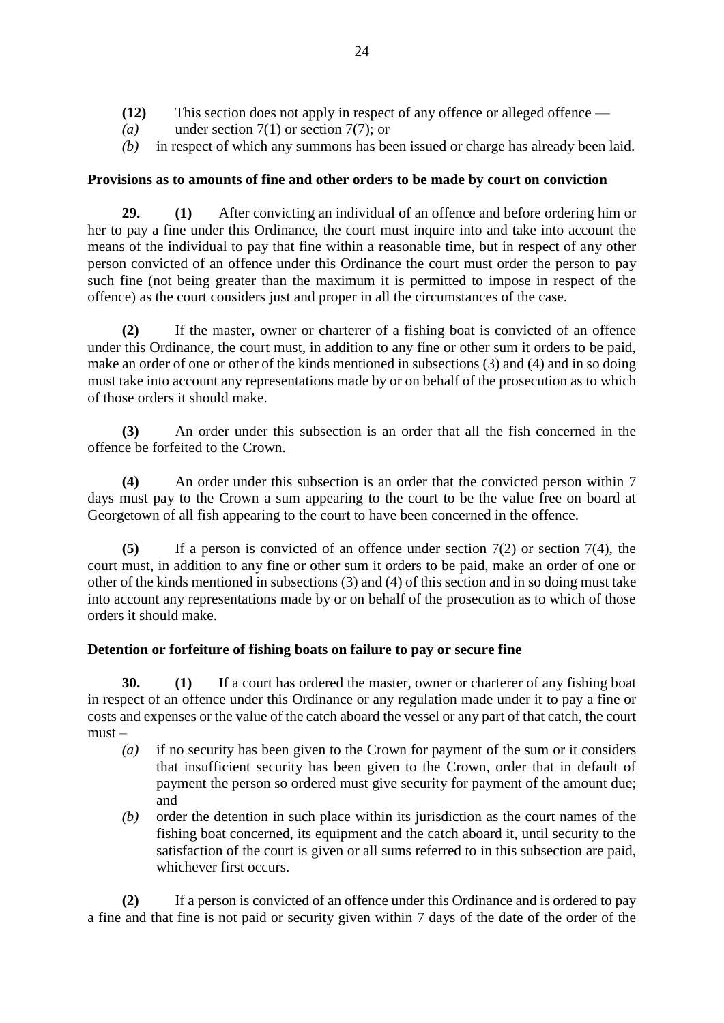- **(12)** This section does not apply in respect of any offence or alleged offence —
- *(a)* under section 7(1) or section 7(7); or
- *(b)* in respect of which any summons has been issued or charge has already been laid.

# **Provisions as to amounts of fine and other orders to be made by court on conviction**

**29. (1)** After convicting an individual of an offence and before ordering him or her to pay a fine under this Ordinance, the court must inquire into and take into account the means of the individual to pay that fine within a reasonable time, but in respect of any other person convicted of an offence under this Ordinance the court must order the person to pay such fine (not being greater than the maximum it is permitted to impose in respect of the offence) as the court considers just and proper in all the circumstances of the case.

**(2)** If the master, owner or charterer of a fishing boat is convicted of an offence under this Ordinance, the court must, in addition to any fine or other sum it orders to be paid, make an order of one or other of the kinds mentioned in subsections (3) and (4) and in so doing must take into account any representations made by or on behalf of the prosecution as to which of those orders it should make.

**(3)** An order under this subsection is an order that all the fish concerned in the offence be forfeited to the Crown.

**(4)** An order under this subsection is an order that the convicted person within 7 days must pay to the Crown a sum appearing to the court to be the value free on board at Georgetown of all fish appearing to the court to have been concerned in the offence.

**(5)** If a person is convicted of an offence under section 7(2) or section 7(4), the court must, in addition to any fine or other sum it orders to be paid, make an order of one or other of the kinds mentioned in subsections (3) and (4) of this section and in so doing must take into account any representations made by or on behalf of the prosecution as to which of those orders it should make.

# **Detention or forfeiture of fishing boats on failure to pay or secure fine**

**30. (1)** If a court has ordered the master, owner or charterer of any fishing boat in respect of an offence under this Ordinance or any regulation made under it to pay a fine or costs and expenses or the value of the catch aboard the vessel or any part of that catch, the court  $must -$ 

- *(a)* if no security has been given to the Crown for payment of the sum or it considers that insufficient security has been given to the Crown, order that in default of payment the person so ordered must give security for payment of the amount due; and
- *(b)* order the detention in such place within its jurisdiction as the court names of the fishing boat concerned, its equipment and the catch aboard it, until security to the satisfaction of the court is given or all sums referred to in this subsection are paid, whichever first occurs.

**(2)** If a person is convicted of an offence under this Ordinance and is ordered to pay a fine and that fine is not paid or security given within 7 days of the date of the order of the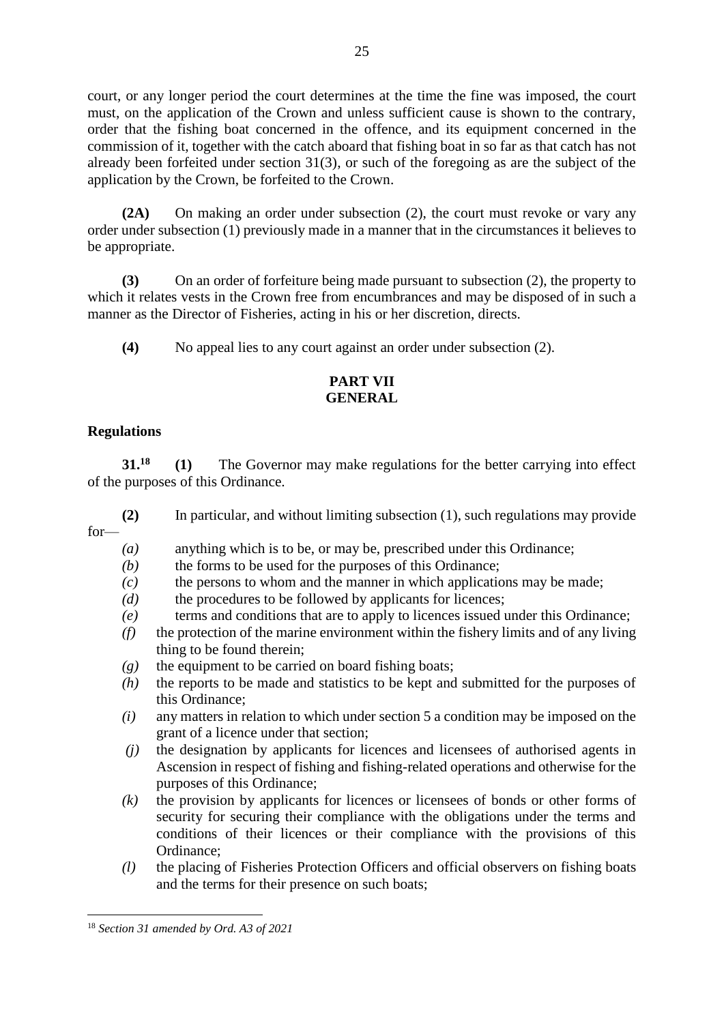court, or any longer period the court determines at the time the fine was imposed, the court must, on the application of the Crown and unless sufficient cause is shown to the contrary, order that the fishing boat concerned in the offence, and its equipment concerned in the commission of it, together with the catch aboard that fishing boat in so far as that catch has not already been forfeited under section 31(3), or such of the foregoing as are the subject of the application by the Crown, be forfeited to the Crown.

**(2A)** On making an order under subsection (2), the court must revoke or vary any order under subsection (1) previously made in a manner that in the circumstances it believes to be appropriate.

**(3)** On an order of forfeiture being made pursuant to subsection (2), the property to which it relates vests in the Crown free from encumbrances and may be disposed of in such a manner as the Director of Fisheries, acting in his or her discretion, directs.

**(4)** No appeal lies to any court against an order under subsection (2).

# **PART VII GENERAL**

# **Regulations**

**31.<sup>18</sup> (1)** The Governor may make regulations for the better carrying into effect of the purposes of this Ordinance.

**(2)** In particular, and without limiting subsection (1), such regulations may provide for—

- *(a)* anything which is to be, or may be, prescribed under this Ordinance;
- *(b)* the forms to be used for the purposes of this Ordinance;
- *(c)* the persons to whom and the manner in which applications may be made;
- *(d)* the procedures to be followed by applicants for licences;
- *(e)* terms and conditions that are to apply to licences issued under this Ordinance;
- *(f)* the protection of the marine environment within the fishery limits and of any living thing to be found therein;
- *(g)* the equipment to be carried on board fishing boats;
- *(h)* the reports to be made and statistics to be kept and submitted for the purposes of this Ordinance;
- *(i)* any matters in relation to which under section 5 a condition may be imposed on the grant of a licence under that section;
- *(j)* the designation by applicants for licences and licensees of authorised agents in Ascension in respect of fishing and fishing-related operations and otherwise for the purposes of this Ordinance;
- *(k)* the provision by applicants for licences or licensees of bonds or other forms of security for securing their compliance with the obligations under the terms and conditions of their licences or their compliance with the provisions of this Ordinance;
- *(l)* the placing of Fisheries Protection Officers and official observers on fishing boats and the terms for their presence on such boats;

**.** 

<sup>18</sup> *Section 31 amended by Ord. A3 of 2021*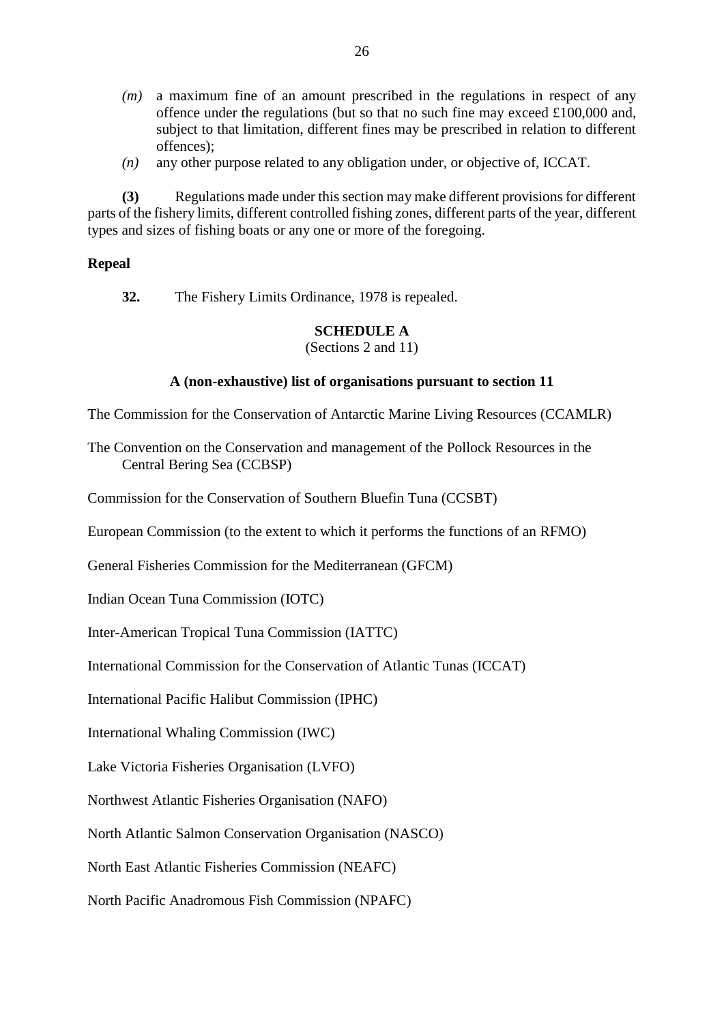- *(m)* a maximum fine of an amount prescribed in the regulations in respect of any offence under the regulations (but so that no such fine may exceed £100,000 and, subject to that limitation, different fines may be prescribed in relation to different offences);
- *(n)* any other purpose related to any obligation under, or objective of, ICCAT.

**(3)** Regulations made under this section may make different provisions for different parts of the fishery limits, different controlled fishing zones, different parts of the year, different types and sizes of fishing boats or any one or more of the foregoing.

### **Repeal**

**32.** The Fishery Limits Ordinance, 1978 is repealed.

### **SCHEDULE A**

(Sections 2 and 11)

### **A (non-exhaustive) list of organisations pursuant to section 11**

The Commission for the Conservation of Antarctic Marine Living Resources (CCAMLR)

The Convention on the Conservation and management of the Pollock Resources in the Central Bering Sea (CCBSP)

Commission for the Conservation of Southern Bluefin Tuna (CCSBT)

European Commission (to the extent to which it performs the functions of an RFMO)

General Fisheries Commission for the Mediterranean (GFCM)

Indian Ocean Tuna Commission (IOTC)

Inter-American Tropical Tuna Commission (IATTC)

International Commission for the Conservation of Atlantic Tunas (ICCAT)

International Pacific Halibut Commission (IPHC)

International Whaling Commission (IWC)

Lake Victoria Fisheries Organisation (LVFO)

Northwest Atlantic Fisheries Organisation (NAFO)

North Atlantic Salmon Conservation Organisation (NASCO)

North East Atlantic Fisheries Commission (NEAFC)

North Pacific Anadromous Fish Commission (NPAFC)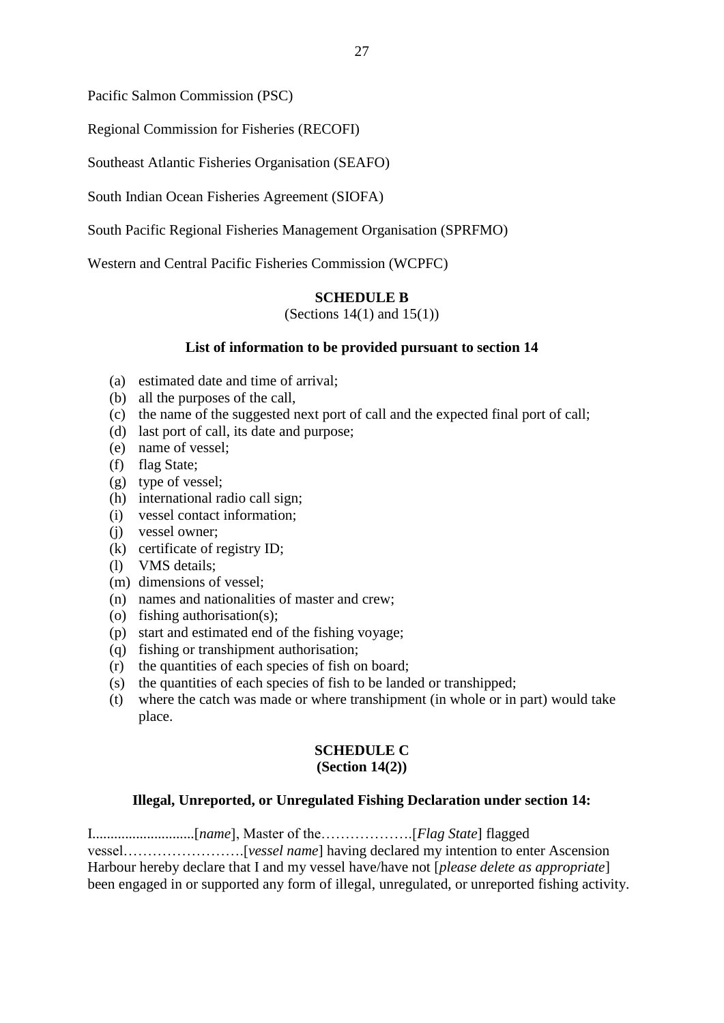Pacific Salmon Commission (PSC)

Regional Commission for Fisheries (RECOFI)

Southeast Atlantic Fisheries Organisation (SEAFO)

South Indian Ocean Fisheries Agreement (SIOFA)

South Pacific Regional Fisheries Management Organisation (SPRFMO)

Western and Central Pacific Fisheries Commission (WCPFC)

#### **SCHEDULE B**

(Sections  $14(1)$  and  $15(1)$ )

#### **List of information to be provided pursuant to section 14**

- (a) estimated date and time of arrival;
- (b) all the purposes of the call,
- (c) the name of the suggested next port of call and the expected final port of call;
- (d) last port of call, its date and purpose;
- (e) name of vessel;
- (f) flag State;
- (g) type of vessel;
- (h) international radio call sign;
- (i) vessel contact information;
- (j) vessel owner;
- (k) certificate of registry ID;
- (l) VMS details;
- (m) dimensions of vessel;
- (n) names and nationalities of master and crew;
- (o) fishing authorisation(s);
- (p) start and estimated end of the fishing voyage;
- (q) fishing or transhipment authorisation;
- (r) the quantities of each species of fish on board;
- (s) the quantities of each species of fish to be landed or transhipped;
- (t) where the catch was made or where transhipment (in whole or in part) would take place.

# **SCHEDULE C**

#### **(Section 14(2))**

#### **Illegal, Unreported, or Unregulated Fishing Declaration under section 14:**

I............................[*name*], Master of the……………….[*Flag State*] flagged vessel…………………….[*vessel name*] having declared my intention to enter Ascension Harbour hereby declare that I and my vessel have/have not [*please delete as appropriate*] been engaged in or supported any form of illegal, unregulated, or unreported fishing activity.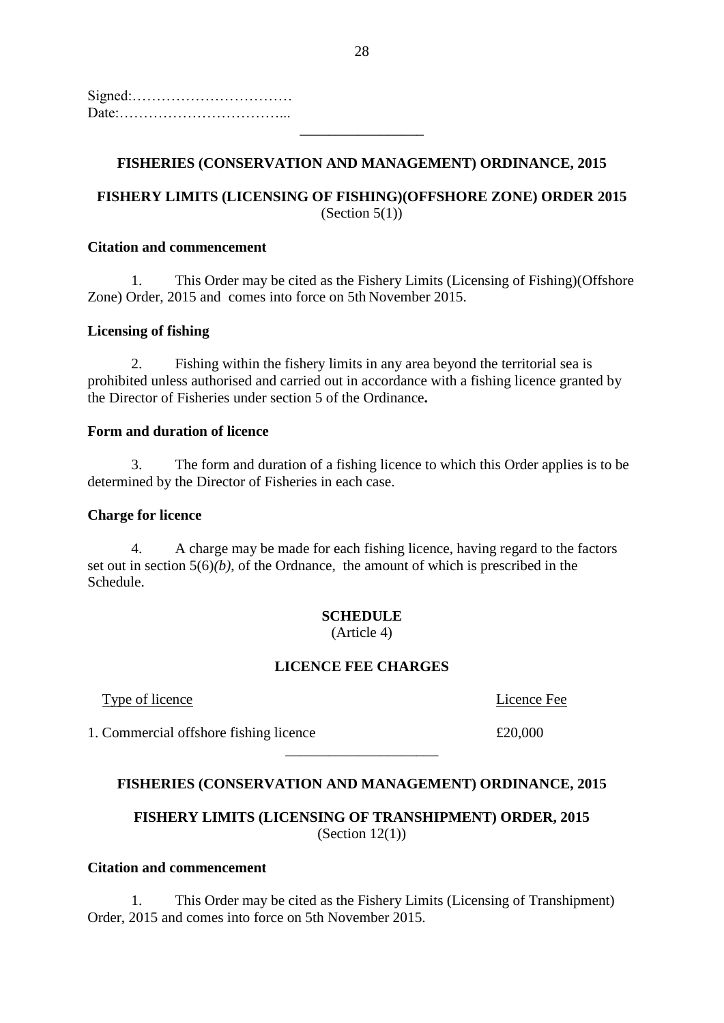Signed:…………………………… Date:……………………………...

# **FISHERIES (CONSERVATION AND MANAGEMENT) ORDINANCE, 2015**

\_\_\_\_\_\_\_\_\_\_\_\_\_\_\_\_\_

# **FISHERY LIMITS (LICENSING OF FISHING)(OFFSHORE ZONE) ORDER 2015** (Section  $5(1)$ )

#### **Citation and commencement**

1. This Order may be cited as the Fishery Limits (Licensing of Fishing)(Offshore Zone) Order, 2015 and comes into force on 5th November 2015.

#### **Licensing of fishing**

2. Fishing within the fishery limits in any area beyond the territorial sea is prohibited unless authorised and carried out in accordance with a fishing licence granted by the Director of Fisheries under section 5 of the Ordinance**.**

#### **Form and duration of licence**

3. The form and duration of a fishing licence to which this Order applies is to be determined by the Director of Fisheries in each case.

#### **Charge for licence**

4. A charge may be made for each fishing licence, having regard to the factors set out in section  $5(6)(b)$ , of the Ordnance, the amount of which is prescribed in the Schedule.

# **SCHEDULE**

(Article 4)

### **LICENCE FEE CHARGES**

**Type of licence** *Contract Fee* **Licence** Fee

1. Commercial offshore fishing licence  $\pounds 20,000$ 

# **FISHERIES (CONSERVATION AND MANAGEMENT) ORDINANCE, 2015**

\_\_\_\_\_\_\_\_\_\_\_\_\_\_\_\_\_\_\_\_\_

**FISHERY LIMITS (LICENSING OF TRANSHIPMENT) ORDER, 2015** (Section  $12(1)$ )

#### **Citation and commencement**

1. This Order may be cited as the Fishery Limits (Licensing of Transhipment) Order, 2015 and comes into force on 5th November 2015.